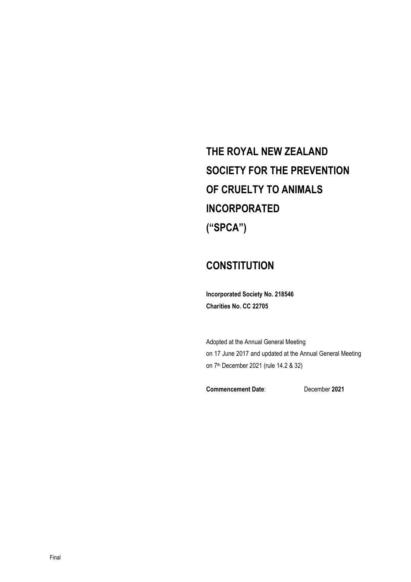# **THE ROYAL NEW ZEALAND SOCIETY FOR THE PREVENTION OF CRUELTY TO ANIMALS INCORPORATED ("SPCA")**

## **CONSTITUTION**

**Incorporated Society No. 218546 Charities No. CC 22705**

Adopted at the Annual General Meeting on 17 June 2017 and updated at the Annual General Meeting on 7<sup>th</sup> December 2021 (rule 14.2 & 32)

**Commencement Date**: December **2021**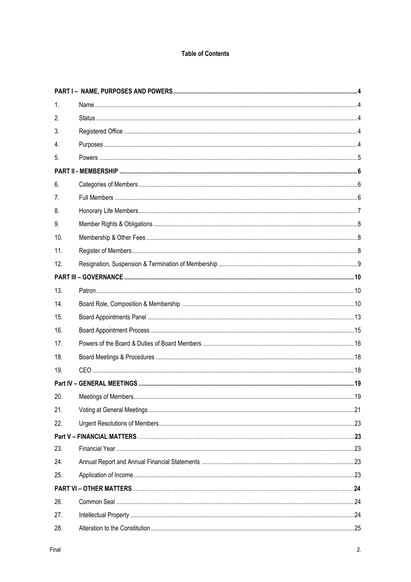## **Table of Contents**

| $\mathbf{1}$ .   |  |
|------------------|--|
| 2.               |  |
| 3.               |  |
| $\overline{4}$ . |  |
| 5.               |  |
|                  |  |
| 6.               |  |
| 7 <sub>1</sub>   |  |
| 8.               |  |
| 9.               |  |
| 10.              |  |
| 11.              |  |
| 12.              |  |
|                  |  |
| 13.              |  |
| 14.              |  |
| 15.              |  |
| 16.              |  |
| 17.              |  |
| 18.              |  |
| 19.              |  |
|                  |  |
| 20.              |  |
| 21.              |  |
| 22.              |  |
|                  |  |
| 23.              |  |
| 24.              |  |
| 25.              |  |
|                  |  |
| 26.              |  |
| 27.              |  |
| 28.              |  |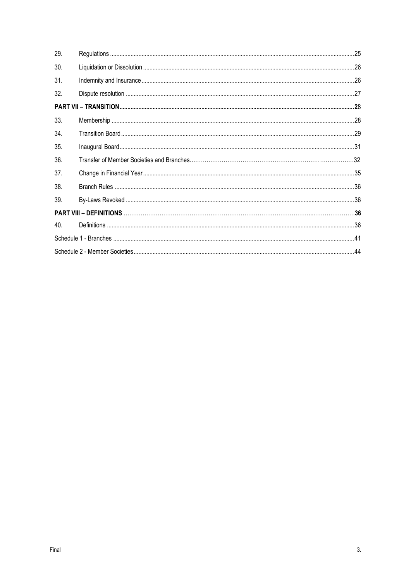| 29. |  |  |  |  |
|-----|--|--|--|--|
| 30. |  |  |  |  |
| 31. |  |  |  |  |
| 32. |  |  |  |  |
|     |  |  |  |  |
| 33. |  |  |  |  |
| 34. |  |  |  |  |
| 35. |  |  |  |  |
| 36. |  |  |  |  |
| 37. |  |  |  |  |
| 38. |  |  |  |  |
| 39. |  |  |  |  |
|     |  |  |  |  |
| 40. |  |  |  |  |
|     |  |  |  |  |
|     |  |  |  |  |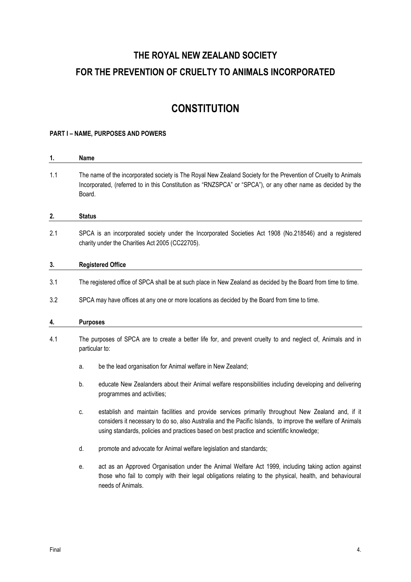## **THE ROYAL NEW ZEALAND SOCIETY FOR THE PREVENTION OF CRUELTY TO ANIMALS INCORPORATED**

## **CONSTITUTION**

## <span id="page-3-0"></span>**PART I – NAME, PURPOSES AND POWERS**

<span id="page-3-3"></span><span id="page-3-2"></span><span id="page-3-1"></span>

| 1.  | Name                                                                                                                          |                                                                                                                                                                                                                                                                                                              |  |  |  |
|-----|-------------------------------------------------------------------------------------------------------------------------------|--------------------------------------------------------------------------------------------------------------------------------------------------------------------------------------------------------------------------------------------------------------------------------------------------------------|--|--|--|
| 1.1 | Board.                                                                                                                        | The name of the incorporated society is The Royal New Zealand Society for the Prevention of Cruelty to Animals<br>Incorporated, (referred to in this Constitution as "RNZSPCA" or "SPCA"), or any other name as decided by the                                                                               |  |  |  |
| 2.  | <b>Status</b>                                                                                                                 |                                                                                                                                                                                                                                                                                                              |  |  |  |
| 2.1 |                                                                                                                               | SPCA is an incorporated society under the Incorporated Societies Act 1908 (No.218546) and a registered<br>charity under the Charities Act 2005 (CC22705).                                                                                                                                                    |  |  |  |
| 3.  |                                                                                                                               | <b>Registered Office</b>                                                                                                                                                                                                                                                                                     |  |  |  |
| 3.1 |                                                                                                                               | The registered office of SPCA shall be at such place in New Zealand as decided by the Board from time to time.                                                                                                                                                                                               |  |  |  |
| 3.2 |                                                                                                                               | SPCA may have offices at any one or more locations as decided by the Board from time to time.                                                                                                                                                                                                                |  |  |  |
| 4.  |                                                                                                                               | <b>Purposes</b>                                                                                                                                                                                                                                                                                              |  |  |  |
| 4.1 | The purposes of SPCA are to create a better life for, and prevent cruelty to and neglect of, Animals and in<br>particular to: |                                                                                                                                                                                                                                                                                                              |  |  |  |
|     | a.                                                                                                                            | be the lead organisation for Animal welfare in New Zealand;                                                                                                                                                                                                                                                  |  |  |  |
|     | b.                                                                                                                            | educate New Zealanders about their Animal welfare responsibilities including developing and delivering<br>programmes and activities;                                                                                                                                                                         |  |  |  |
|     | C.                                                                                                                            | establish and maintain facilities and provide services primarily throughout New Zealand and, if it<br>considers it necessary to do so, also Australia and the Pacific Islands, to improve the welfare of Animals<br>using standards, policies and practices based on best practice and scientific knowledge; |  |  |  |
|     | d.                                                                                                                            | promote and advocate for Animal welfare legislation and standards;                                                                                                                                                                                                                                           |  |  |  |
|     | е.                                                                                                                            | act as an Approved Organisation under the Animal Welfare Act 1999, including taking action against<br>those who fail to comply with their legal obligations relating to the physical, health, and behavioural<br>needs of Animals.                                                                           |  |  |  |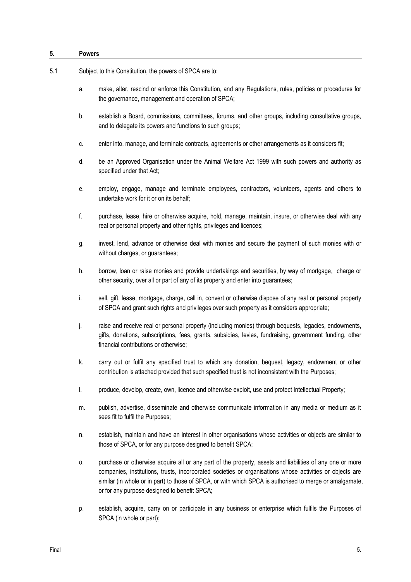#### <span id="page-4-0"></span>**5. Powers**

- 5.1 Subject to this Constitution, the powers of SPCA are to:
	- a. make, alter, rescind or enforce this Constitution, and any Regulations, rules, policies or procedures for the governance, management and operation of SPCA;
	- b. establish a Board, commissions, committees, forums, and other groups, including consultative groups, and to delegate its powers and functions to such groups;
	- c. enter into, manage, and terminate contracts, agreements or other arrangements as it considers fit;
	- d. be an Approved Organisation under the Animal Welfare Act 1999 with such powers and authority as specified under that Act;
	- e. employ, engage, manage and terminate employees, contractors, volunteers, agents and others to undertake work for it or on its behalf;
	- f. purchase, lease, hire or otherwise acquire, hold, manage, maintain, insure, or otherwise deal with any real or personal property and other rights, privileges and licences;
	- g. invest, lend, advance or otherwise deal with monies and secure the payment of such monies with or without charges, or guarantees;
	- h. borrow, loan or raise monies and provide undertakings and securities, by way of mortgage, charge or other security, over all or part of any of its property and enter into guarantees;
	- i. sell, gift, lease, mortgage, charge, call in, convert or otherwise dispose of any real or personal property of SPCA and grant such rights and privileges over such property as it considers appropriate;
	- j. raise and receive real or personal property (including monies) through bequests, legacies, endowments, gifts, donations, subscriptions, fees, grants, subsidies, levies, fundraising, government funding, other financial contributions or otherwise;
	- k. carry out or fulfil any specified trust to which any donation, bequest, legacy, endowment or other contribution is attached provided that such specified trust is not inconsistent with the Purposes;
	- l. produce, develop, create, own, licence and otherwise exploit, use and protect Intellectual Property;
	- m. publish, advertise, disseminate and otherwise communicate information in any media or medium as it sees fit to fulfil the Purposes;
	- n. establish, maintain and have an interest in other organisations whose activities or objects are similar to those of SPCA, or for any purpose designed to benefit SPCA;
	- o. purchase or otherwise acquire all or any part of the property, assets and liabilities of any one or more companies, institutions, trusts, incorporated societies or organisations whose activities or objects are similar (in whole or in part) to those of SPCA, or with which SPCA is authorised to merge or amalgamate. or for any purpose designed to benefit SPCA;
	- p. establish, acquire, carry on or participate in any business or enterprise which fulfils the Purposes of SPCA (in whole or part);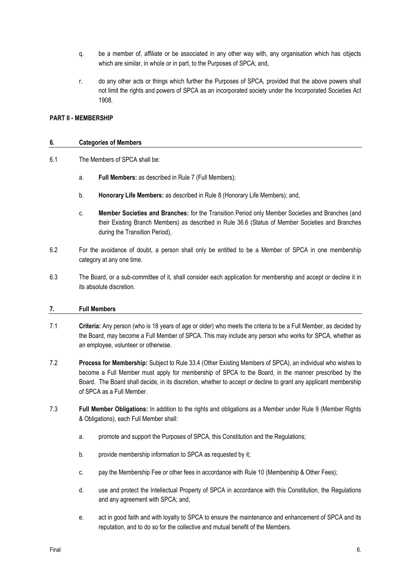- q. be a member of, affiliate or be associated in any other way with, any organisation which has objects which are similar, in whole or in part, to the Purposes of SPCA; and,
- r. do any other acts or things which further the Purposes of SPCA, provided that the above powers shall not limit the rights and powers of SPCA as an incorporated society under the Incorporated Societies Act 1908.

## <span id="page-5-0"></span>**PART II - MEMBERSHIP**

#### <span id="page-5-1"></span>**6. Categories of Members**

- 6.1 The Members of SPCA shall be:
	- a. **Full Members:** as described in Rule [7](#page-5-2) (Full Members);
	- b. **Honorary Life Members:** as described in Rule [8](#page-6-0) (Honorary Life Members); and,
	- c. **Member Societies and Branches:** for the Transition Period only Member Societies and Branches (and their Existing Branch Members) as described in Rule 36.6 (Status of Member Societies and Branches during the Transition Period),
- 6.2 For the avoidance of doubt, a person shall only be entitled to be a Member of SPCA in one membership category at any one time.
- 6.3 The Board, or a sub-committee of it, shall consider each application for membership and accept or decline it in its absolute discretion.

#### <span id="page-5-2"></span>**7. Full Members**

- 7.1 **Criteria:** Any person (who is 18 years of age or older) who meets the criteria to be a Full Member, as decided by the Board, may become a Full Member of SPCA. This may include any person who works for SPCA, whether as an employee, volunteer or otherwise.
- 7.2 **Process for Membership:** Subject to Rule 33.4 (Other Existing Members of SPCA), an individual who wishes to become a Full Member must apply for membership of SPCA to the Board, in the manner prescribed by the Board. The Board shall decide, in its discretion, whether to accept or decline to grant any applicant membership of SPCA as a Full Member.
- 7.3 **Full Member Obligations:** In addition to the rights and obligations as a Member under Rule 9 (Member Rights & Obligations), each Full Member shall:
	- a. promote and support the Purposes of SPCA, this Constitution and the Regulations;
	- b. provide membership information to SPCA as requested by it:
	- c. pay the Membership Fee or other fees in accordance with Rule 10 (Membership & Other Fees);
	- d. use and protect the Intellectual Property of SPCA in accordance with this Constitution, the Regulations and any agreement with SPCA; and,
	- e. act in good faith and with loyalty to SPCA to ensure the maintenance and enhancement of SPCA and its reputation, and to do so for the collective and mutual benefit of the Members.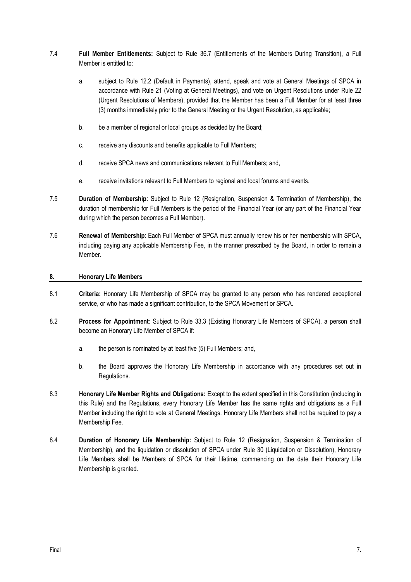- 7.4 **Full Member Entitlements:** Subject to Rule 36.7 (Entitlements of the Members During Transition), a Full Member is entitled to:
	- a. subject to Rule 12.2 (Default in Payments), attend, speak and vote at General Meetings of SPCA in accordance with Rule [21](#page-20-0) (Voting at General Meetings), and vote on Urgent Resolutions under Rule 22 (Urgent Resolutions of Members), provided that the Member has been a Full Member for at least three (3) months immediately prior to the General Meeting or the Urgent Resolution, as applicable;
	- b. be a member of regional or local groups as decided by the Board;
	- c. receive any discounts and benefits applicable to Full Members;
	- d. receive SPCA news and communications relevant to Full Members; and,
	- e. receive invitations relevant to Full Members to regional and local forums and events.
- 7.5 **Duration of Membership**: Subject to Rule [12](#page-8-0) (Resignation, Suspension & Termination of Membership), the duration of membership for Full Members is the period of the Financial Year (or any part of the Financial Year during which the person becomes a Full Member).
- 7.6 **Renewal of Membership**: Each Full Member of SPCA must annually renew his or her membership with SPCA, including paying any applicable Membership Fee, in the manner prescribed by the Board, in order to remain a Member.

## <span id="page-6-0"></span>**8. Honorary Life Members**

- 8.1 **Criteria:** Honorary Life Membership of SPCA may be granted to any person who has rendered exceptional service, or who has made a significant contribution, to the SPCA Movement or SPCA.
- 8.2 **Process for Appointment**: Subject to Rule 33.3 (Existing Honorary Life Members of SPCA), a person shall become an Honorary Life Member of SPCA if:
	- a. the person is nominated by at least five (5) Full Members; and,
	- b. the Board approves the Honorary Life Membership in accordance with any procedures set out in Regulations.
- 8.3 **Honorary Life Member Rights and Obligations:** Except to the extent specified in this Constitution (including in this Rule) and the Regulations, every Honorary Life Member has the same rights and obligations as a Full Member including the right to vote at General Meetings. Honorary Life Members shall not be required to pay a Membership Fee.
- 8.4 **Duration of Honorary Life Membership:** Subject to Rule [12](#page-8-0) (Resignation, Suspension & Termination of Membership), and the liquidation or dissolution of SPCA under Rule 30 (Liquidation or Dissolution), Honorary Life Members shall be Members of SPCA for their lifetime, commencing on the date their Honorary Life Membership is granted.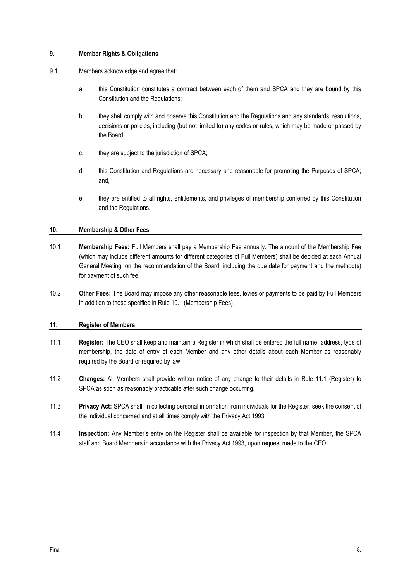## <span id="page-7-0"></span>**9. Member Rights & Obligations**

## 9.1 Members acknowledge and agree that:

- a. this Constitution constitutes a contract between each of them and SPCA and they are bound by this Constitution and the Regulations;
- b. they shall comply with and observe this Constitution and the Regulations and any standards, resolutions, decisions or policies, including (but not limited to) any codes or rules, which may be made or passed by the Board;
- c. they are subject to the jurisdiction of SPCA;
- d. this Constitution and Regulations are necessary and reasonable for promoting the Purposes of SPCA; and,
- e. they are entitled to all rights, entitlements, and privileges of membership conferred by this Constitution and the Regulations.

## <span id="page-7-1"></span>**10. Membership & Other Fees**

- <span id="page-7-3"></span>10.1 **Membership Fees:** Full Members shall pay a Membership Fee annually. The amount of the Membership Fee (which may include different amounts for different categories of Full Members) shall be decided at each Annual General Meeting, on the recommendation of the Board, including the due date for payment and the method(s) for payment of such fee.
- 10.2 **Other Fees:** The Board may impose any other reasonable fees, levies or payments to be paid by Full Members in addition to those specified in Rule [10.1](#page-7-3) (Membership Fees).

#### <span id="page-7-2"></span>**11. Register of Members**

- <span id="page-7-4"></span>11.1 **Register:** The CEO shall keep and maintain a Register in which shall be entered the full name, address, type of membership, the date of entry of each Member and any other details about each Member as reasonably required by the Board or required by law.
- 11.2 **Changes:** All Members shall provide written notice of any change to their details in Rule [11.1](#page-7-4) (Register) to SPCA as soon as reasonably practicable after such change occurring.
- 11.3 **Privacy Act:** SPCA shall, in collecting personal information from individuals for the Register, seek the consent of the individual concerned and at all times comply with the Privacy Act 1993.
- 11.4 **Inspection:** Any Member's entry on the Register shall be available for inspection by that Member, the SPCA staff and Board Members in accordance with the Privacy Act 1993, upon request made to the CEO.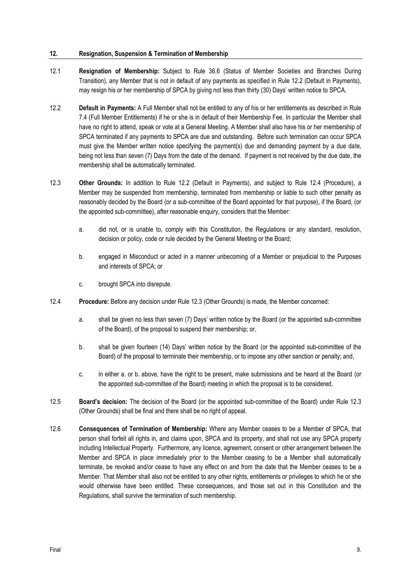## <span id="page-8-0"></span>**12. Resignation, Suspension & Termination of Membership**

- 12.1 **Resignation of Membership:** Subject to Rule 36.6 (Status of Member Societies and Branches During Transition), any Member that is not in default of any payments as specified in Rule [12.2](#page-8-2) (Default in Payments), may resign his or her membership of SPCA by giving not less than thirty (30) Days' written notice to SPCA.
- <span id="page-8-2"></span>12.2 **Default in Payments:** A Full Member shall not be entitled to any of his or her entitlements as described in Rule 7.4 (Full Member Entitlements) if he or she is in default of their Membership Fee. In particular the Member shall have no right to attend, speak or vote at a General Meeting. A Member shall also have his or her membership of SPCA terminated if any payments to SPCA are due and outstanding. Before such termination can occur SPCA must give the Member written notice specifying the payment(s) due and demanding payment by a due date, being not less than seven (7) Days from the date of the demand. If payment is not received by the due date, the membership shall be automatically terminated.
- <span id="page-8-4"></span><span id="page-8-3"></span>12.3 **Other Grounds:** In addition to Rule [12.2](#page-8-2) (Default in Payments), and subject to Rule 12.4 (Procedure), a Member may be suspended from membership, terminated from membership or liable to such other penalty as reasonably decided by the Board (or a sub-committee of the Board appointed for that purpose), if the Board, (or the appointed sub-committee), after reasonable enquiry, considers that the Member:
	- a. did not, or is unable to, comply with this Constitution, the Regulations or any standard, resolution, decision or policy, code or rule decided by the General Meeting or the Board;
	- b. engaged in Misconduct or acted in a manner unbecoming of a Member or prejudicial to the Purposes and interests of SPCA; or
	- c. brought SPCA into disrepute.
- <span id="page-8-5"></span>12.4 **Procedure:** Before any decision under Rule [12.3](#page-8-3) (Other Grounds) is made, the Member concerned:
	- a. shall be given no less than seven (7) Days' written notice by the Board (or the appointed sub-committee of the Board), of the proposal to suspend their membership; or,
	- b. shall be given fourteen (14) Days' written notice by the Board (or the appointed sub-committee of the Board) of the proposal to terminate their membership, or to impose any other sanction or penalty; and,
	- c. in either a. or b. above, have the right to be present, make submissions and be heard at the Board (or the appointed sub-committee of the Board) meeting in which the proposal is to be considered.
- <span id="page-8-6"></span>12.5 **Board's decision:** The decision of the Board (or the appointed sub-committee of the Board) under Rule [12.3](#page-8-4) (Other Grounds) shall be final and there shall be no right of appeal.
- <span id="page-8-7"></span><span id="page-8-1"></span>12.6 **Consequences of Termination of Membership:** Where any Member ceases to be a Member of SPCA, that person shall forfeit all rights in, and claims upon, SPCA and its property, and shall not use any SPCA property including Intellectual Property. Furthermore, any licence, agreement, consent or other arrangement between the Member and SPCA in place immediately prior to the Member ceasing to be a Member shall automatically terminate, be revoked and/or cease to have any effect on and from the date that the Member ceases to be a Member. That Member shall also not be entitled to any other rights, entitlements or privileges to which he or she would otherwise have been entitled. These consequences, and those set out in this Constitution and the Regulations, shall survive the termination of such membership.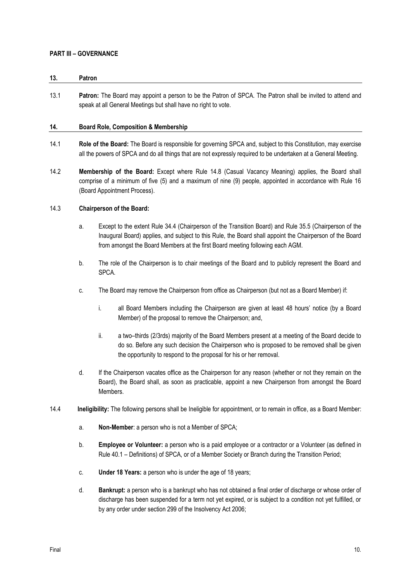## <span id="page-9-0"></span>**PART III – GOVERNANCE**

#### **13. Patron**

<span id="page-9-2"></span>13.1 **Patron:** The Board may appoint a person to be the Patron of SPCA. The Patron shall be invited to attend and speak at all General Meetings but shall have no right to vote.

#### <span id="page-9-1"></span>**14. Board Role, Composition & Membership**

- 14.1 **Role of the Board:** The Board is responsible for governing SPCA and, subject to this Constitution, may exercise all the powers of SPCA and do all things that are not expressly required to be undertaken at a General Meeting.
- 14.2 **Membership of the Board:** Except where Rule 14.8 (Casual Vacancy Meaning) applies, the Board shall comprise of a minimum of five (5) and a maximum of nine (9) people, appointed in accordance with Rule 16 (Board Appointment Process).

## 14.3 **Chairperson of the Board:**

- a. Except to the extent Rule 34.4 (Chairperson of the Transition Board) and Rule 35.5 (Chairperson of the Inaugural Board) applies, and subject to this Rule, the Board shall appoint the Chairperson of the Board from amongst the Board Members at the first Board meeting following each AGM.
- b. The role of the Chairperson is to chair meetings of the Board and to publicly represent the Board and SPCA.
- c. The Board may remove the Chairperson from office as Chairperson (but not as a Board Member) if:
	- i. all Board Members including the Chairperson are given at least 48 hours' notice (by a Board Member) of the proposal to remove the Chairperson; and,
	- ii. a two–thirds (2/3rds) majority of the Board Members present at a meeting of the Board decide to do so. Before any such decision the Chairperson who is proposed to be removed shall be given the opportunity to respond to the proposal for his or her removal.
- d. If the Chairperson vacates office as the Chairperson for any reason (whether or not they remain on the Board), the Board shall, as soon as practicable, appoint a new Chairperson from amongst the Board Members.
- 14.4 **Ineligibility:** The following persons shall be Ineligible for appointment, or to remain in office, as a Board Member:
	- a. **Non-Member**: a person who is not a Member of SPCA;
	- b. **Employee or Volunteer:** a person who is a paid employee or a contractor or a Volunteer (as defined in Rule 40.1 – Definitions) of SPCA, or of a Member Society or Branch during the Transition Period;
	- c. **Under 18 Years:** a person who is under the age of 18 years;
	- d. **Bankrupt:** a person who is a bankrupt who has not obtained a final order of discharge or whose order of discharge has been suspended for a term not yet expired, or is subject to a condition not yet fulfilled, or by any order under section 299 of the Insolvency Act 2006;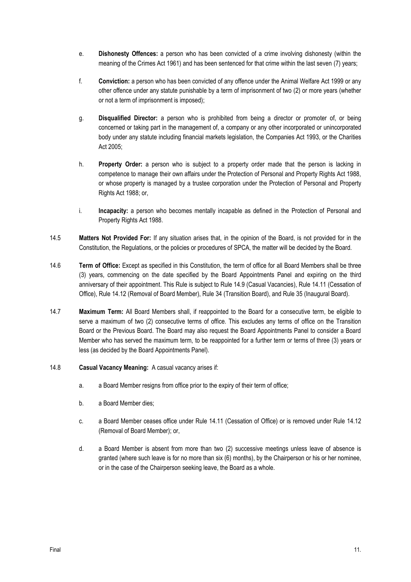- e. **Dishonesty Offences:** a person who has been convicted of a crime involving dishonesty (within the meaning of the Crimes Act 1961) and has been sentenced for that crime within the last seven (7) years;
- f. **Conviction:** a person who has been convicted of any offence under the Animal Welfare Act 1999 or any other offence under any statute punishable by a term of imprisonment of two (2) or more years (whether or not a term of imprisonment is imposed);
- g. **Disqualified Director:** a person who is prohibited from being a director or promoter of, or being concerned or taking part in the management of, a company or any other incorporated or unincorporated body under any statute including financial markets legislation, the Companies Act 1993, or the Charities Act 2005;
- h. **Property Order:** a person who is subject to a property order made that the person is lacking in competence to manage their own affairs under the Protection of Personal and Property Rights Act 1988, or whose property is managed by a trustee corporation under the Protection of Personal and Property Rights Act 1988; or,
- i. **Incapacity:** a person who becomes mentally incapable as defined in the Protection of Personal and Property Rights Act 1988.
- 14.5 **Matters Not Provided For:** If any situation arises that, in the opinion of the Board, is not provided for in the Constitution, the Regulations, or the policies or procedures of SPCA, the matter will be decided by the Board.
- 14.6 **Term of Office:** Except as specified in this Constitution, the term of office for all Board Members shall be three (3) years, commencing on the date specified by the Board Appointments Panel and expiring on the third anniversary of their appointment. This Rule is subject to Rule 14.9 (Casual Vacancies), Rule 14.11 (Cessation of Office), Rule 14.12 (Removal of Board Member), Rule 34 (Transition Board), and Rule [35](#page-30-0) (Inaugural Board).
- 14.7 **Maximum Term:** All Board Members shall, if reappointed to the Board for a consecutive term, be eligible to serve a maximum of two (2) consecutive terms of office. This excludes any terms of office on the Transition Board or the Previous Board. The Board may also request the Board Appointments Panel to consider a Board Member who has served the maximum term, to be reappointed for a further term or terms of three (3) years or less (as decided by the Board Appointments Panel).
- 14.8 **Casual Vacancy Meaning:** A casual vacancy arises if:
	- a. a Board Member resigns from office prior to the expiry of their term of office;
	- b. a Board Member dies;
	- c. a Board Member ceases office under Rule 14.11 (Cessation of Office) or is removed under Rule 14.12 (Removal of Board Member); or,
	- d. a Board Member is absent from more than two (2) successive meetings unless leave of absence is granted (where such leave is for no more than six (6) months), by the Chairperson or his or her nominee, or in the case of the Chairperson seeking leave, the Board as a whole.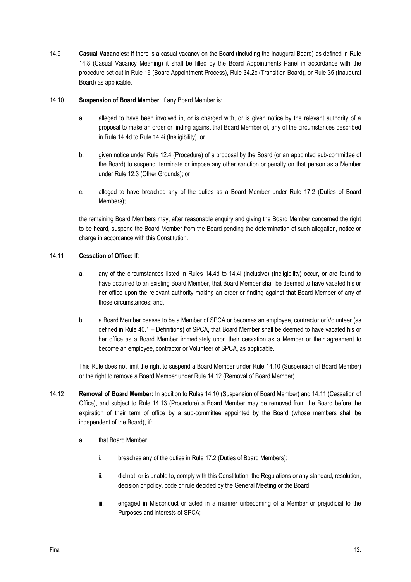- 14.9 **Casual Vacancies:** If there is a casual vacancy on the Board (including the Inaugural Board) as defined in Rule 14.8 (Casual Vacancy Meaning) it shall be filled by the Board Appointments Panel in accordance with the procedure set out in Rule 16 (Board Appointment Process), Rule 34.2c (Transition Board), or Rule 35 (Inaugural Board) as applicable.
- 14.10 **Suspension of Board Member**: If any Board Member is:
	- a. alleged to have been involved in, or is charged with, or is given notice by the relevant authority of a proposal to make an order or finding against that Board Member of, any of the circumstances described in Rule 14.4d to Rule 14.4i (Ineligibility), or
	- b. given notice under Rule 12.4 (Procedure) of a proposal by the Board (or an appointed sub-committee of the Board) to suspend, terminate or impose any other sanction or penalty on that person as a Member under Rule 12.3 (Other Grounds); or
	- c. alleged to have breached any of the duties as a Board Member under Rule 17.2 (Duties of Board Members);

the remaining Board Members may, after reasonable enquiry and giving the Board Member concerned the right to be heard, suspend the Board Member from the Board pending the determination of such allegation, notice or charge in accordance with this Constitution.

## 14.11 **Cessation of Office:** If:

- a. any of the circumstances listed in Rules 14.4d to 14.4i (inclusive) (Ineligibility) occur, or are found to have occurred to an existing Board Member, that Board Member shall be deemed to have vacated his or her office upon the relevant authority making an order or finding against that Board Member of any of those circumstances; and,
- b. a Board Member ceases to be a Member of SPCA or becomes an employee, contractor or Volunteer (as defined in Rule 40.1 – Definitions) of SPCA, that Board Member shall be deemed to have vacated his or her office as a Board Member immediately upon their cessation as a Member or their agreement to become an employee, contractor or Volunteer of SPCA, as applicable.

This Rule does not limit the right to suspend a Board Member under Rule 14.10 (Suspension of Board Member) or the right to remove a Board Member under Rule 14.12 (Removal of Board Member).

- 14.12 **Removal of Board Member:** In addition to Rules 14.10 (Suspension of Board Member) and 14.11 (Cessation of Office), and subject to Rule 14.13 (Procedure) a Board Member may be removed from the Board before the expiration of their term of office by a sub-committee appointed by the Board (whose members shall be independent of the Board), if:
	- a. that Board Member:
		- i. breaches any of the duties in Rule 17.2 (Duties of Board Members);
		- ii. did not, or is unable to, comply with this Constitution, the Regulations or any standard, resolution, decision or policy, code or rule decided by the General Meeting or the Board;
		- iii. engaged in Misconduct or acted in a manner unbecoming of a Member or prejudicial to the Purposes and interests of SPCA;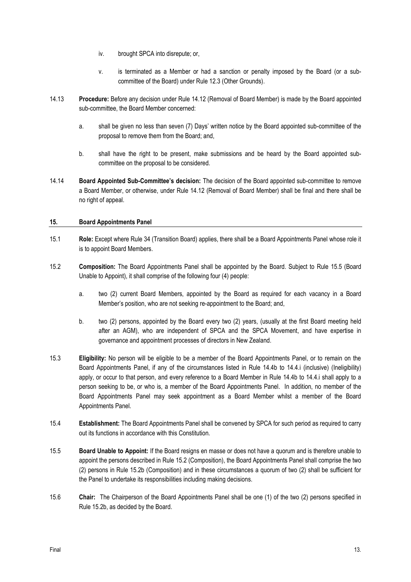- iv. brought SPCA into disrepute; or,
- v. is terminated as a Member or had a sanction or penalty imposed by the Board (or a subcommittee of the Board) under Rule 12.3 (Other Grounds).
- 14.13 **Procedure:** Before any decision under Rule 14.12 (Removal of Board Member) is made by the Board appointed sub-committee, the Board Member concerned:
	- a. shall be given no less than seven (7) Days' written notice by the Board appointed sub-committee of the proposal to remove them from the Board; and,
	- b. shall have the right to be present, make submissions and be heard by the Board appointed subcommittee on the proposal to be considered.
- 14.14 **Board Appointed Sub-Committee's decision:** The decision of the Board appointed sub-committee to remove a Board Member, or otherwise, under Rule 14.12 (Removal of Board Member) shall be final and there shall be no right of appeal.

## <span id="page-12-0"></span>**15. Board Appointments Panel**

- 15.1 **Role:** Except where Rule 34 (Transition Board) applies, there shall be a Board Appointments Panel whose role it is to appoint Board Members.
- 15.2 **Composition:** The Board Appointments Panel shall be appointed by the Board. Subject to Rule [15.5](#page-12-1) (Board Unable to Appoint), it shall comprise of the following four (4) people:
	- a. two (2) current Board Members, appointed by the Board as required for each vacancy in a Board Member's position, who are not seeking re-appointment to the Board; and,
	- b. two (2) persons, appointed by the Board every two (2) years, (usually at the first Board meeting held after an AGM), who are independent of SPCA and the SPCA Movement, and have expertise in governance and appointment processes of directors in New Zealand.
- 15.3 **Eligibility:** No person will be eligible to be a member of the Board Appointments Panel, or to remain on the Board Appointments Panel, if any of the circumstances listed in Rule 14.4b to 14.4.i (inclusive) (Ineligibility) apply, or occur to that person, and every reference to a Board Member in Rule 14.4b to 14.4.i shall apply to a person seeking to be, or who is, a member of the Board Appointments Panel. In addition, no member of the Board Appointments Panel may seek appointment as a Board Member whilst a member of the Board Appointments Panel.
- 15.4 **Establishment:** The Board Appointments Panel shall be convened by SPCA for such period as required to carry out its functions in accordance with this Constitution.
- <span id="page-12-1"></span>15.5 **Board Unable to Appoint:** If the Board resigns en masse or does not have a quorum and is therefore unable to appoint the persons described in Rule 15.2 (Composition), the Board Appointments Panel shall comprise the two (2) persons in Rule 15.2b (Composition) and in these circumstances a quorum of two (2) shall be sufficient for the Panel to undertake its responsibilities including making decisions.
- 15.6 **Chair:** The Chairperson of the Board Appointments Panel shall be one (1) of the two (2) persons specified in Rule 15.2b, as decided by the Board.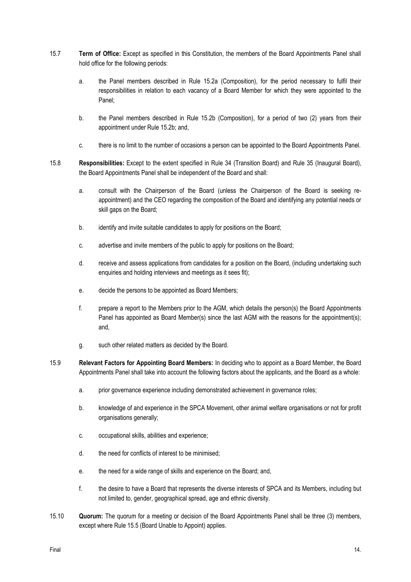- 15.7 **Term of Office:** Except as specified in this Constitution, the members of the Board Appointments Panel shall hold office for the following periods:
	- a. the Panel members described in Rule 15.2a (Composition), for the period necessary to fulfil their responsibilities in relation to each vacancy of a Board Member for which they were appointed to the Panel;
	- b. the Panel members described in Rule 15.2b (Composition), for a period of two (2) years from their appointment under Rule 15.2b; and,
	- c. there is no limit to the number of occasions a person can be appointed to the Board Appointments Panel.
- <span id="page-13-0"></span>15.8 **Responsibilities:** Except to the extent specified in Rule 34 (Transition Board) and Rule [35](#page-30-0) (Inaugural Board), the Board Appointments Panel shall be independent of the Board and shall:
	- a. consult with the Chairperson of the Board (unless the Chairperson of the Board is seeking reappointment) and the CEO regarding the composition of the Board and identifying any potential needs or skill gaps on the Board;
	- b. identify and invite suitable candidates to apply for positions on the Board:
	- c. advertise and invite members of the public to apply for positions on the Board;
	- d. receive and assess applications from candidates for a position on the Board, (including undertaking such enquiries and holding interviews and meetings as it sees fit);
	- e. decide the persons to be appointed as Board Members;
	- f. prepare a report to the Members prior to the AGM, which details the person(s) the Board Appointments Panel has appointed as Board Member(s) since the last AGM with the reasons for the appointment(s); and,
	- g. such other related matters as decided by the Board.
- <span id="page-13-1"></span>15.9 **Relevant Factors for Appointing Board Members:** In deciding who to appoint as a Board Member, the Board Appointments Panel shall take into account the following factors about the applicants, and the Board as a whole:
	- a. prior governance experience including demonstrated achievement in governance roles;
	- b. knowledge of and experience in the SPCA Movement, other animal welfare organisations or not for profit organisations generally;
	- c. occupational skills, abilities and experience;
	- d. the need for conflicts of interest to be minimised;
	- e. the need for a wide range of skills and experience on the Board; and,
	- f. the desire to have a Board that represents the diverse interests of SPCA and its Members, including but not limited to, gender, geographical spread, age and ethnic diversity.
- 15.10 **Quorum:** The quorum for a meeting or decision of the Board Appointments Panel shall be three (3) members, except where Rule 15.5 (Board Unable to Appoint) applies.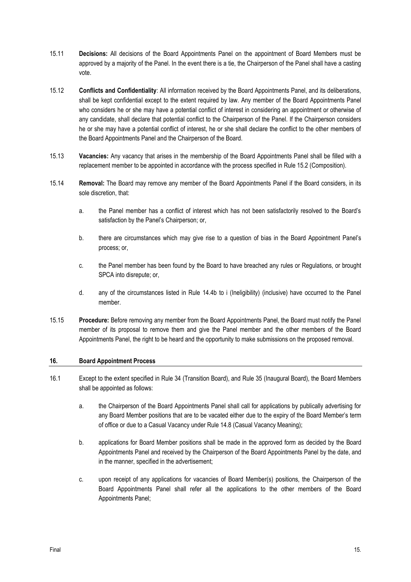- 15.11 **Decisions:** All decisions of the Board Appointments Panel on the appointment of Board Members must be approved by a majority of the Panel. In the event there is a tie, the Chairperson of the Panel shall have a casting vote.
- 15.12 **Conflicts and Confidentiality**: All information received by the Board Appointments Panel, and its deliberations, shall be kept confidential except to the extent required by law. Any member of the Board Appointments Panel who considers he or she may have a potential conflict of interest in considering an appointment or otherwise of any candidate, shall declare that potential conflict to the Chairperson of the Panel. If the Chairperson considers he or she may have a potential conflict of interest, he or she shall declare the conflict to the other members of the Board Appointments Panel and the Chairperson of the Board.
- 15.13 **Vacancies:** Any vacancy that arises in the membership of the Board Appointments Panel shall be filled with a replacement member to be appointed in accordance with the process specified in Rule 15.2 (Composition).
- 15.14 **Removal:** The Board may remove any member of the Board Appointments Panel if the Board considers, in its sole discretion, that:
	- a. the Panel member has a conflict of interest which has not been satisfactorily resolved to the Board's satisfaction by the Panel's Chairperson; or,
	- b. there are circumstances which may give rise to a question of bias in the Board Appointment Panel's process; or,
	- c. the Panel member has been found by the Board to have breached any rules or Regulations, or brought SPCA into disrepute; or,
	- d. any of the circumstances listed in Rule 14.4b to i (Ineligibility) (inclusive) have occurred to the Panel member.
- 15.15 **Procedure:** Before removing any member from the Board Appointments Panel, the Board must notify the Panel member of its proposal to remove them and give the Panel member and the other members of the Board Appointments Panel, the right to be heard and the opportunity to make submissions on the proposed removal.

#### <span id="page-14-0"></span>**16. Board Appointment Process**

- 16.1 Except to the extent specified in Rule 34 (Transition Board), and Rul[e 35](#page-30-0) (Inaugural Board), the Board Members shall be appointed as follows:
	- a. the Chairperson of the Board Appointments Panel shall call for applications by publically advertising for any Board Member positions that are to be vacated either due to the expiry of the Board Member's term of office or due to a Casual Vacancy under Rule 14.8 (Casual Vacancy Meaning);
	- b. applications for Board Member positions shall be made in the approved form as decided by the Board Appointments Panel and received by the Chairperson of the Board Appointments Panel by the date, and in the manner, specified in the advertisement;
	- c. upon receipt of any applications for vacancies of Board Member(s) positions, the Chairperson of the Board Appointments Panel shall refer all the applications to the other members of the Board Appointments Panel;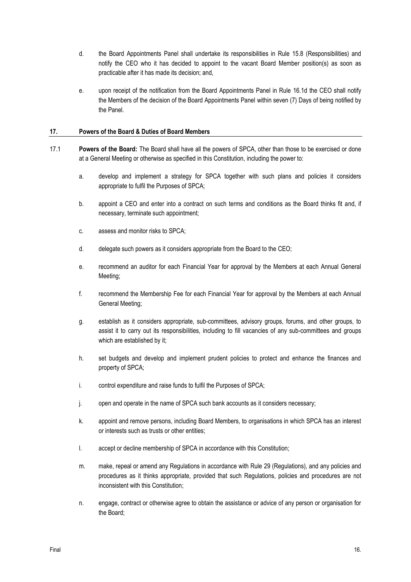- d. the Board Appointments Panel shall undertake its responsibilities in Rule [15.8](#page-13-0) (Responsibilities) and notify the CEO who it has decided to appoint to the vacant Board Member position(s) as soon as practicable after it has made its decision; and,
- e. upon receipt of the notification from the Board Appointments Panel in Rule 16.1d the CEO shall notify the Members of the decision of the Board Appointments Panel within seven (7) Days of being notified by the Panel.

#### **17. Powers of the Board & Duties of Board Members**

- 17.1 **Powers of the Board:** The Board shall have all the powers of SPCA, other than those to be exercised or done at a General Meeting or otherwise as specified in this Constitution, including the power to:
	- a. develop and implement a strategy for SPCA together with such plans and policies it considers appropriate to fulfil the Purposes of SPCA;
	- b. appoint a CEO and enter into a contract on such terms and conditions as the Board thinks fit and, if necessary, terminate such appointment;
	- c. assess and monitor risks to SPCA;
	- d. delegate such powers as it considers appropriate from the Board to the CEO;
	- e. recommend an auditor for each Financial Year for approval by the Members at each Annual General Meeting;
	- f. recommend the Membership Fee for each Financial Year for approval by the Members at each Annual General Meeting;
	- g. establish as it considers appropriate, sub-committees, advisory groups, forums, and other groups, to assist it to carry out its responsibilities, including to fill vacancies of any sub-committees and groups which are established by it;
	- h. set budgets and develop and implement prudent policies to protect and enhance the finances and property of SPCA;
	- i. control expenditure and raise funds to fulfil the Purposes of SPCA;
	- j. open and operate in the name of SPCA such bank accounts as it considers necessary;
	- k. appoint and remove persons, including Board Members, to organisations in which SPCA has an interest or interests such as trusts or other entities;
	- l. accept or decline membership of SPCA in accordance with this Constitution;
	- m. make, repeal or amend any Regulations in accordance with Rule [29](#page-24-0) (Regulations), and any policies and procedures as it thinks appropriate, provided that such Regulations, policies and procedures are not inconsistent with this Constitution;
	- n. engage, contract or otherwise agree to obtain the assistance or advice of any person or organisation for the Board;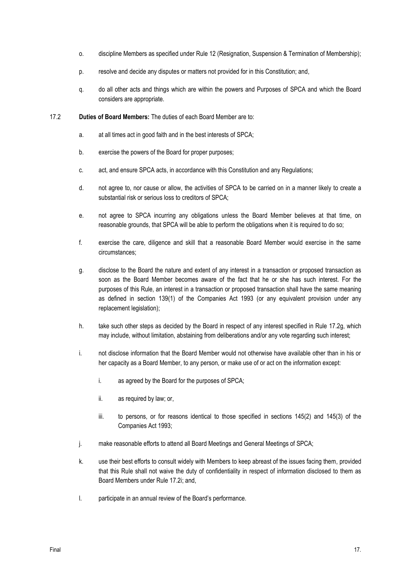- o. discipline Members as specified under Rule 12 (Resignation, Suspension & Termination of Membership);
- p. resolve and decide any disputes or matters not provided for in this Constitution; and,
- q. do all other acts and things which are within the powers and Purposes of SPCA and which the Board considers are appropriate.
- <span id="page-16-1"></span><span id="page-16-0"></span>17.2 **Duties of Board Members:** The duties of each Board Member are to:
	- a. at all times act in good faith and in the best interests of SPCA;
	- b. exercise the powers of the Board for proper purposes;
	- c. act, and ensure SPCA acts, in accordance with this Constitution and any Regulations;
	- d. not agree to, nor cause or allow, the activities of SPCA to be carried on in a manner likely to create a substantial risk or serious loss to creditors of SPCA;
	- e. not agree to SPCA incurring any obligations unless the Board Member believes at that time, on reasonable grounds, that SPCA will be able to perform the obligations when it is required to do so;
	- f. exercise the care, diligence and skill that a reasonable Board Member would exercise in the same circumstances;
	- g. disclose to the Board the nature and extent of any interest in a transaction or proposed transaction as soon as the Board Member becomes aware of the fact that he or she has such interest. For the purposes of this Rule, an interest in a transaction or proposed transaction shall have the same meaning as defined in section 139(1) of the Companies Act 1993 (or any equivalent provision under any replacement legislation);
	- h. take such other steps as decided by the Board in respect of any interest specified in Rule 17.[2g,](#page-16-0) which may include, without limitation, abstaining from deliberations and/or any vote regarding such interest;
	- i. not disclose information that the Board Member would not otherwise have available other than in his or her capacity as a Board Member, to any person, or make use of or act on the information except:
		- i. as agreed by the Board for the purposes of SPCA;
		- ii. as required by law; or,
		- iii. to persons, or for reasons identical to those specified in sections 145(2) and 145(3) of the Companies Act 1993;
	- j. make reasonable efforts to attend all Board Meetings and General Meetings of SPCA;
	- k. use their best efforts to consult widely with Members to keep abreast of the issues facing them, provided that this Rule shall not waive the duty of confidentiality in respect of information disclosed to them as Board Members under Rule 17.[2i;](#page-16-1) and,
	- l. participate in an annual review of the Board's performance.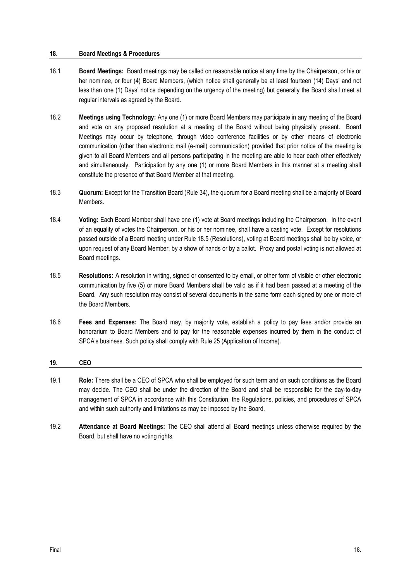## <span id="page-17-0"></span>**18. Board Meetings & Procedures**

- 18.1 **Board Meetings:** Board meetings may be called on reasonable notice at any time by the Chairperson, or his or her nominee, or four (4) Board Members, (which notice shall generally be at least fourteen (14) Days' and not less than one (1) Days' notice depending on the urgency of the meeting) but generally the Board shall meet at regular intervals as agreed by the Board.
- 18.2 **Meetings using Technology:** Any one (1) or more Board Members may participate in any meeting of the Board and vote on any proposed resolution at a meeting of the Board without being physically present. Board Meetings may occur by telephone, through video conference facilities or by other means of electronic communication (other than electronic mail (e-mail) communication) provided that prior notice of the meeting is given to all Board Members and all persons participating in the meeting are able to hear each other effectively and simultaneously. Participation by any one (1) or more Board Members in this manner at a meeting shall constitute the presence of that Board Member at that meeting.
- 18.3 **Quorum:** Except for the Transition Board (Rule 34), the quorum for a Board meeting shall be a majority of Board Members.
- 18.4 **Voting:** Each Board Member shall have one (1) vote at Board meetings including the Chairperson. In the event of an equality of votes the Chairperson, or his or her nominee, shall have a casting vote. Except for resolutions passed outside of a Board meeting under Rule [18.5](#page-17-2) (Resolutions), voting at Board meetings shall be by voice, or upon request of any Board Member, by a show of hands or by a ballot. Proxy and postal voting is not allowed at Board meetings.
- <span id="page-17-2"></span>18.5 **Resolutions:** A resolution in writing, signed or consented to by email, or other form of visible or other electronic communication by five (5) or more Board Members shall be valid as if it had been passed at a meeting of the Board. Any such resolution may consist of several documents in the same form each signed by one or more of the Board Members.
- 18.6 **Fees and Expenses:** The Board may, by majority vote, establish a policy to pay fees and/or provide an honorarium to Board Members and to pay for the reasonable expenses incurred by them in the conduct of SPCA's business. Such policy shall comply with Rule 25 (Application of Income).

## **19. CEO**

- 19.1 **Role:** There shall be a CEO of SPCA who shall be employed for such term and on such conditions as the Board may decide. The CEO shall be under the direction of the Board and shall be responsible for the day-to-day management of SPCA in accordance with this Constitution, the Regulations, policies, and procedures of SPCA and within such authority and limitations as may be imposed by the Board.
- <span id="page-17-1"></span>19.2 **Attendance at Board Meetings:** The CEO shall attend all Board meetings unless otherwise required by the Board, but shall have no voting rights.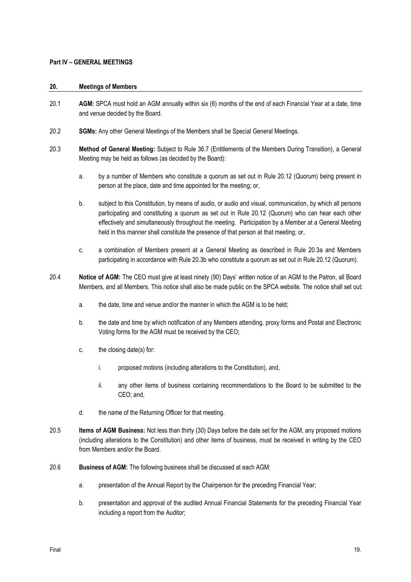## <span id="page-18-0"></span>**Part IV – GENERAL MEETINGS**

#### **20. Meetings of Members**

- <span id="page-18-3"></span>20.1 **AGM:** SPCA must hold an AGM annually within six (6) months of the end of each Financial Year at a date, time and venue decided by the Board.
- 20.2 **SGMs:** Any other General Meetings of the Members shall be Special General Meetings.
- 20.3 **Method of General Meeting:** Subject to Rule 36.7 (Entitlements of the Members During Transition), a General Meeting may be held as follows (as decided by the Board):
	- a. by a number of Members who constitute a quorum as set out in Rule 20.12 (Quorum) being present in person at the place, date and time appointed for the meeting; or,
	- b. subject to this Constitution, by means of audio, or audio and visual, communication, by which all persons participating and constituting a quorum as set out in Rule 20.12 (Quorum) who can hear each other effectively and simultaneously throughout the meeting. Participation by a Member at a General Meeting held in this manner shall constitute the presence of that person at that meeting; or,
	- c. a combination of Members present at a General Meeting as described in Rule 20.3a and Members participating in accordance with Rule 20.3b who constitute a quorum as set out in Rule 20.12 (Quorum).
- <span id="page-18-2"></span>20.4 **Notice of AGM:** The CEO must give at least ninety (90) Days' written notice of an AGM to the Patron, all Board Members, and all Members. This notice shall also be made public on the SPCA website. The notice shall set out:
	- a. the date, time and venue and/or the manner in which the AGM is to be held;
	- b. the date and time by which notification of any Members attending, proxy forms and Postal and Electronic Voting forms for the AGM must be received by the CEO;
	- c. the closing date(s) for:
		- i. proposed motions (including alterations to the Constitution), and,
		- ii. any other items of business containing recommendations to the Board to be submitted to the CEO; and,
	- d. the name of the Returning Officer for that meeting.
- 20.5 **Items of AGM Business:** Not less than thirty (30) Days before the date set for the AGM, any proposed motions (including alterations to the Constitution) and other items of business, must be received in writing by the CEO from Members and/or the Board.
- <span id="page-18-1"></span>20.6 **Business of AGM:** The following business shall be discussed at each AGM:
	- a. presentation of the Annual Report by the Chairperson for the preceding Financial Year;
	- b. presentation and approval of the audited Annual Financial Statements for the preceding Financial Year including a report from the Auditor;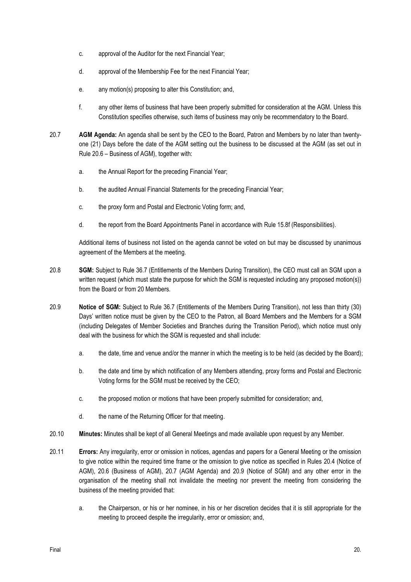- c. approval of the Auditor for the next Financial Year;
- d. approval of the Membership Fee for the next Financial Year;
- e. any motion(s) proposing to alter this Constitution; and,
- f. any other items of business that have been properly submitted for consideration at the AGM. Unless this Constitution specifies otherwise, such items of business may only be recommendatory to the Board.
- <span id="page-19-0"></span>20.7 **AGM Agenda:** An agenda shall be sent by the CEO to the Board, Patron and Members by no later than twentyone (21) Days before the date of the AGM setting out the business to be discussed at the AGM (as set out in Rul[e 20.6](#page-18-1) – Business of AGM), together with:
	- a. the Annual Report for the preceding Financial Year;
	- b. the audited Annual Financial Statements for the preceding Financial Year;
	- c. the proxy form and Postal and Electronic Voting form; and,
	- d. the report from the Board Appointments Panel in accordance with Rule [15.8f](#page-13-1) (Responsibilities).

Additional items of business not listed on the agenda cannot be voted on but may be discussed by unanimous agreement of the Members at the meeting.

- 20.8 **SGM:** Subject to Rule 36.7 (Entitlements of the Members During Transition), the CEO must call an SGM upon a written request (which must state the purpose for which the SGM is requested including any proposed motion(s)) from the Board or from 20 Members.
- <span id="page-19-1"></span>20.9 **Notice of SGM:** Subject to Rule 36.7 (Entitlements of the Members During Transition), not less than thirty (30) Days' written notice must be given by the CEO to the Patron, all Board Members and the Members for a SGM (including Delegates of Member Societies and Branches during the Transition Period), which notice must only deal with the business for which the SGM is requested and shall include:
	- a. the date, time and venue and/or the manner in which the meeting is to be held (as decided by the Board);
	- b. the date and time by which notification of any Members attending, proxy forms and Postal and Electronic Voting forms for the SGM must be received by the CEO;
	- c. the proposed motion or motions that have been properly submitted for consideration; and,
	- d. the name of the Returning Officer for that meeting.
- 20.10 **Minutes:** Minutes shall be kept of all General Meetings and made available upon request by any Member.
- 20.11 **Errors:** Any irregularity, error or omission in notices, agendas and papers for a General Meeting or the omission to give notice within the required time frame or the omission to give notice as specified in Rules [20.4](#page-18-2) (Notice of AGM), [20.6](#page-18-1) (Business of AGM), [20.7](#page-19-0) (AGM Agenda) and [20.9](#page-19-1) (Notice of SGM) and any other error in the organisation of the meeting shall not invalidate the meeting nor prevent the meeting from considering the business of the meeting provided that:
	- a. the Chairperson, or his or her nominee, in his or her discretion decides that it is still appropriate for the meeting to proceed despite the irregularity, error or omission; and,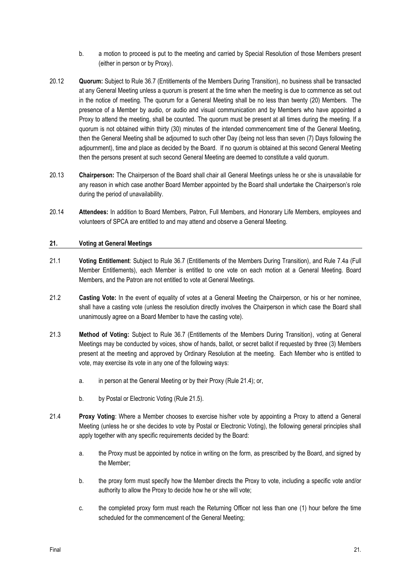- b. a motion to proceed is put to the meeting and carried by Special Resolution of those Members present (either in person or by Proxy).
- 20.12 **Quorum:** Subject to Rule 36.7 (Entitlements of the Members During Transition), no business shall be transacted at any General Meeting unless a quorum is present at the time when the meeting is due to commence as set out in the notice of meeting. The quorum for a General Meeting shall be no less than twenty (20) Members. The presence of a Member by audio, or audio and visual communication and by Members who have appointed a Proxy to attend the meeting, shall be counted. The quorum must be present at all times during the meeting. If a quorum is not obtained within thirty (30) minutes of the intended commencement time of the General Meeting, then the General Meeting shall be adjourned to such other Day (being not less than seven (7) Days following the adjournment), time and place as decided by the Board. If no quorum is obtained at this second General Meeting then the persons present at such second General Meeting are deemed to constitute a valid quorum.
- 20.13 **Chairperson:** The Chairperson of the Board shall chair all General Meetings unless he or she is unavailable for any reason in which case another Board Member appointed by the Board shall undertake the Chairperson's role during the period of unavailability.
- 20.14 **Attendees:** In addition to Board Members, Patron, Full Members, and Honorary Life Members, employees and volunteers of SPCA are entitled to and may attend and observe a General Meeting.

## <span id="page-20-0"></span>**21. Voting at General Meetings**

- 21.1 **Voting Entitlement**: Subject to Rule 36.7 (Entitlements of the Members During Transition), and Rule 7.4a (Full Member Entitlements), each Member is entitled to one vote on each motion at a General Meeting. Board Members, and the Patron are not entitled to vote at General Meetings.
- 21.2 **Casting Vote:** In the event of equality of votes at a General Meeting the Chairperson, or his or her nominee, shall have a casting vote (unless the resolution directly involves the Chairperson in which case the Board shall unanimously agree on a Board Member to have the casting vote).
- 21.3 **Method of Voting:** Subject to Rule 36.7 (Entitlements of the Members During Transition), voting at General Meetings may be conducted by voices, show of hands, ballot, or secret ballot if requested by three (3) Members present at the meeting and approved by Ordinary Resolution at the meeting. Each Member who is entitled to vote, may exercise its vote in any one of the following ways:
	- a. in person at the General Meeting or by their Proxy (Rule 21.4); or,
	- b. by Postal or Electronic Voting (Rule 21.5).
- 21.4 **Proxy Voting**: Where a Member chooses to exercise his/her vote by appointing a Proxy to attend a General Meeting (unless he or she decides to vote by Postal or Electronic Voting), the following general principles shall apply together with any specific requirements decided by the Board:
	- a. the Proxy must be appointed by notice in writing on the form, as prescribed by the Board, and signed by the Member;
	- b. the proxy form must specify how the Member directs the Proxy to vote, including a specific vote and/or authority to allow the Proxy to decide how he or she will vote;
	- c. the completed proxy form must reach the Returning Officer not less than one (1) hour before the time scheduled for the commencement of the General Meeting;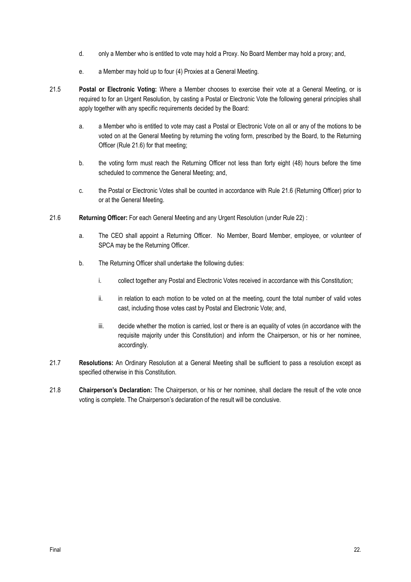- d. only a Member who is entitled to vote may hold a Proxy. No Board Member may hold a proxy; and,
- e. a Member may hold up to four (4) Proxies at a General Meeting.
- 21.5 **Postal or Electronic Voting:** Where a Member chooses to exercise their vote at a General Meeting, or is required to for an Urgent Resolution, by casting a Postal or Electronic Vote the following general principles shall apply together with any specific requirements decided by the Board:
	- a. a Member who is entitled to vote may cast a Postal or Electronic Vote on all or any of the motions to be voted on at the General Meeting by returning the voting form, prescribed by the Board, to the Returning Officer (Rule 21.6) for that meeting;
	- b. the voting form must reach the Returning Officer not less than forty eight (48) hours before the time scheduled to commence the General Meeting; and,
	- c. the Postal or Electronic Votes shall be counted in accordance with Rule [21.6](#page-21-0) (Returning Officer) prior to or at the General Meeting.
- <span id="page-21-0"></span>21.6 **Returning Officer:** For each General Meeting and any Urgent Resolution (under Rule 22) :
	- a. The CEO shall appoint a Returning Officer. No Member, Board Member, employee, or volunteer of SPCA may be the Returning Officer.
	- b. The Returning Officer shall undertake the following duties:
		- i. collect together any Postal and Electronic Votes received in accordance with this Constitution;
		- ii. in relation to each motion to be voted on at the meeting, count the total number of valid votes cast, including those votes cast by Postal and Electronic Vote; and,
		- iii. decide whether the motion is carried, lost or there is an equality of votes (in accordance with the requisite majority under this Constitution) and inform the Chairperson, or his or her nominee, accordingly.
- 21.7 **Resolutions:** An Ordinary Resolution at a General Meeting shall be sufficient to pass a resolution except as specified otherwise in this Constitution.
- 21.8 **Chairperson's Declaration:** The Chairperson, or his or her nominee, shall declare the result of the vote once voting is complete. The Chairperson's declaration of the result will be conclusive.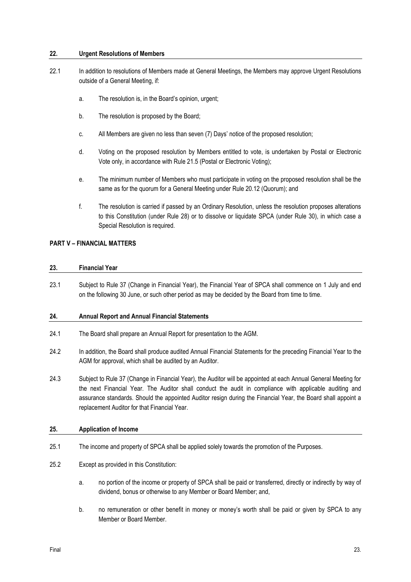#### **22. Urgent Resolutions of Members**

- 22.1 In addition to resolutions of Members made at General Meetings, the Members may approve Urgent Resolutions outside of a General Meeting, if:
	- a. The resolution is, in the Board's opinion, urgent;
	- b. The resolution is proposed by the Board;
	- c. All Members are given no less than seven (7) Days' notice of the proposed resolution;
	- d. Voting on the proposed resolution by Members entitled to vote, is undertaken by Postal or Electronic Vote only, in accordance with Rule 21.5 (Postal or Electronic Voting);
	- e. The minimum number of Members who must participate in voting on the proposed resolution shall be the same as for the quorum for a General Meeting under Rule 20.12 (Quorum); and
	- f. The resolution is carried if passed by an Ordinary Resolution, unless the resolution proposes alterations to this Constitution (under Rule 28) or to dissolve or liquidate SPCA (under Rule 30), in which case a Special Resolution is required.

## <span id="page-22-0"></span>**PART V – FINANCIAL MATTERS**

#### **23. Financial Year**

23.1 Subject to Rule 37 (Change in Financial Year), the Financial Year of SPCA shall commence on 1 July and end on the following 30 June, or such other period as may be decided by the Board from time to time.

#### <span id="page-22-1"></span>**24. Annual Report and Annual Financial Statements**

- 24.1 The Board shall prepare an Annual Report for presentation to the AGM.
- 24.2 In addition, the Board shall produce audited Annual Financial Statements for the preceding Financial Year to the AGM for approval, which shall be audited by an Auditor.
- 24.3 Subject to Rule 37 (Change in Financial Year), the Auditor will be appointed at each Annual General Meeting for the next Financial Year. The Auditor shall conduct the audit in compliance with applicable auditing and assurance standards. Should the appointed Auditor resign during the Financial Year, the Board shall appoint a replacement Auditor for that Financial Year.

#### <span id="page-22-2"></span>**25. Application of Income**

- 25.1 The income and property of SPCA shall be applied solely towards the promotion of the Purposes.
- <span id="page-22-3"></span>25.2 Except as provided in this Constitution:
	- a. no portion of the income or property of SPCA shall be paid or transferred, directly or indirectly by way of dividend, bonus or otherwise to any Member or Board Member; and,
	- b. no remuneration or other benefit in money or money's worth shall be paid or given by SPCA to any Member or Board Member.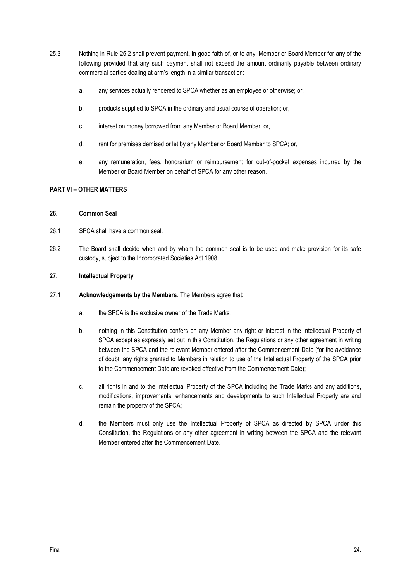- 25.3 Nothing in Rule [25.2](#page-22-3) shall prevent payment, in good faith of, or to any, Member or Board Member for any of the following provided that any such payment shall not exceed the amount ordinarily payable between ordinary commercial parties dealing at arm's length in a similar transaction:
	- a. any services actually rendered to SPCA whether as an employee or otherwise; or,
	- b. products supplied to SPCA in the ordinary and usual course of operation; or,
	- c. interest on money borrowed from any Member or Board Member; or,
	- d. rent for premises demised or let by any Member or Board Member to SPCA; or,
	- e. any remuneration, fees, honorarium or reimbursement for out-of-pocket expenses incurred by the Member or Board Member on behalf of SPCA for any other reason.

## <span id="page-23-0"></span>**PART VI – OTHER MATTERS**

## **26. Common Seal**

- 26.1 SPCA shall have a common seal.
- 26.2 The Board shall decide when and by whom the common seal is to be used and make provision for its safe custody, subject to the Incorporated Societies Act 1908.

## <span id="page-23-1"></span>**27. Intellectual Property**

- 27.1 **Acknowledgements by the Members**. The Members agree that:
	- a. the SPCA is the exclusive owner of the Trade Marks;
	- b. nothing in this Constitution confers on any Member any right or interest in the Intellectual Property of SPCA except as expressly set out in this Constitution, the Regulations or any other agreement in writing between the SPCA and the relevant Member entered after the Commencement Date (for the avoidance of doubt, any rights granted to Members in relation to use of the Intellectual Property of the SPCA prior to the Commencement Date are revoked effective from the Commencement Date);
	- c. all rights in and to the Intellectual Property of the SPCA including the Trade Marks and any additions, modifications, improvements, enhancements and developments to such Intellectual Property are and remain the property of the SPCA;
	- d. the Members must only use the Intellectual Property of SPCA as directed by SPCA under this Constitution, the Regulations or any other agreement in writing between the SPCA and the relevant Member entered after the Commencement Date.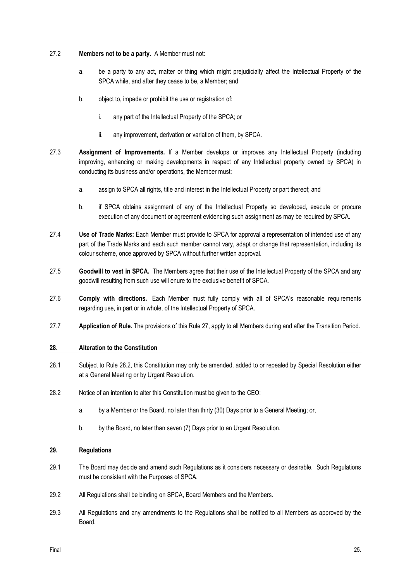## 27.2 **Members not to be a party.** A Member must not:

- a. be a party to any act, matter or thing which might prejudicially affect the Intellectual Property of the SPCA while, and after they cease to be, a Member; and
- b. object to, impede or prohibit the use or registration of:
	- i. any part of the Intellectual Property of the SPCA; or
	- ii. any improvement, derivation or variation of them, by SPCA.
- 27.3 **Assignment of Improvements.** If a Member develops or improves any Intellectual Property (including improving, enhancing or making developments in respect of any Intellectual property owned by SPCA) in conducting its business and/or operations, the Member must:
	- a. assign to SPCA all rights, title and interest in the Intellectual Property or part thereof; and
	- b. if SPCA obtains assignment of any of the Intellectual Property so developed, execute or procure execution of any document or agreement evidencing such assignment as may be required by SPCA.
- 27.4 **Use of Trade Marks:** Each Member must provide to SPCA for approval a representation of intended use of any part of the Trade Marks and each such member cannot vary, adapt or change that representation, including its colour scheme, once approved by SPCA without further written approval.
- 27.5 **Goodwill to vest in SPCA.** The Members agree that their use of the Intellectual Property of the SPCA and any goodwill resulting from such use will enure to the exclusive benefit of SPCA.
- 27.6 **Comply with directions.** Each Member must fully comply with all of SPCA's reasonable requirements regarding use, in part or in whole, of the Intellectual Property of SPCA.
- 27.7 **Application of Rule.** The provisions of this Rule 27, apply to all Members during and after the Transition Period.

## **28. Alteration to the Constitution**

- 28.1 Subject to Rule [28.2,](#page-24-1) this Constitution may only be amended, added to or repealed by Special Resolution either at a General Meeting or by Urgent Resolution.
- <span id="page-24-1"></span>28.2 Notice of an intention to alter this Constitution must be given to the CEO:
	- a. by a Member or the Board, no later than thirty (30) Days prior to a General Meeting; or,
	- b. by the Board, no later than seven (7) Days prior to an Urgent Resolution.

#### <span id="page-24-0"></span>**29. Regulations**

- 29.1 The Board may decide and amend such Regulations as it considers necessary or desirable. Such Regulations must be consistent with the Purposes of SPCA.
- 29.2 All Regulations shall be binding on SPCA, Board Members and the Members.
- 29.3 All Regulations and any amendments to the Regulations shall be notified to all Members as approved by the Board.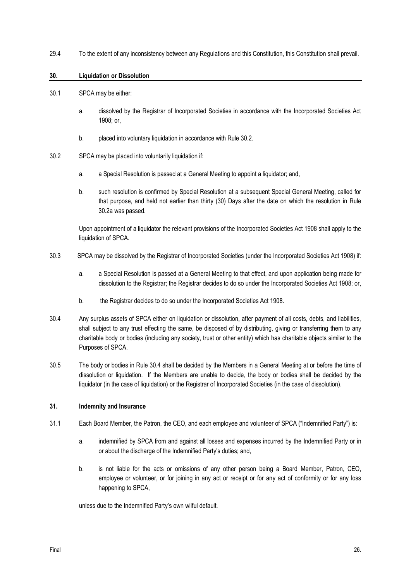| 29.4<br>To the extent of any inconsistency between any Regulations and this Constitution, this Constitution shall prevail. |  |
|----------------------------------------------------------------------------------------------------------------------------|--|
|----------------------------------------------------------------------------------------------------------------------------|--|

<span id="page-25-2"></span><span id="page-25-0"></span>

| 30.  |                     | <b>Liquidation or Dissolution</b>                                                                                                                                                                                                                                                                                                                                                      |  |
|------|---------------------|----------------------------------------------------------------------------------------------------------------------------------------------------------------------------------------------------------------------------------------------------------------------------------------------------------------------------------------------------------------------------------------|--|
| 30.1 | SPCA may be either: |                                                                                                                                                                                                                                                                                                                                                                                        |  |
|      | a.                  | dissolved by the Registrar of Incorporated Societies in accordance with the Incorporated Societies Act<br>1908; or,                                                                                                                                                                                                                                                                    |  |
|      | b.                  | placed into voluntary liquidation in accordance with Rule 30.2.                                                                                                                                                                                                                                                                                                                        |  |
| 30.2 |                     | SPCA may be placed into voluntarily liquidation if:                                                                                                                                                                                                                                                                                                                                    |  |
|      | a.                  | a Special Resolution is passed at a General Meeting to appoint a liquidator; and,                                                                                                                                                                                                                                                                                                      |  |
|      | b.                  | such resolution is confirmed by Special Resolution at a subsequent Special General Meeting, called for<br>that purpose, and held not earlier than thirty (30) Days after the date on which the resolution in Rule<br>30.2a was passed.                                                                                                                                                 |  |
|      |                     | Upon appointment of a liquidator the relevant provisions of the Incorporated Societies Act 1908 shall apply to the<br>liquidation of SPCA.                                                                                                                                                                                                                                             |  |
| 30.3 |                     | SPCA may be dissolved by the Registrar of Incorporated Societies (under the Incorporated Societies Act 1908) if:                                                                                                                                                                                                                                                                       |  |
|      | a.                  | a Special Resolution is passed at a General Meeting to that effect, and upon application being made for<br>dissolution to the Registrar; the Registrar decides to do so under the Incorporated Societies Act 1908; or,                                                                                                                                                                 |  |
|      | b.                  | the Registrar decides to do so under the Incorporated Societies Act 1908.                                                                                                                                                                                                                                                                                                              |  |
| 30.4 |                     | Any surplus assets of SPCA either on liquidation or dissolution, after payment of all costs, debts, and liabilities,<br>shall subject to any trust effecting the same, be disposed of by distributing, giving or transferring them to any<br>charitable body or bodies (including any society, trust or other entity) which has charitable objects similar to the<br>Purposes of SPCA. |  |
| 30.5 |                     | The body or bodies in Rule 30.4 shall be decided by the Members in a General Meeting at or before the time of<br>dissolution or liquidation. If the Members are unable to decide, the body or bodies shall be decided by the<br>liquidator (in the case of liquidation) or the Registrar of Incorporated Societies (in the case of dissolution).                                       |  |
| 31.  |                     | <b>Indemnity and Insurance</b>                                                                                                                                                                                                                                                                                                                                                         |  |
| 31.1 |                     | Each Board Member, the Patron, the CEO, and each employee and volunteer of SPCA ("Indemnified Party") is:                                                                                                                                                                                                                                                                              |  |
|      | а.                  | indemnified by SPCA from and against all losses and expenses incurred by the Indemnified Party or in                                                                                                                                                                                                                                                                                   |  |

b. is not liable for the acts or omissions of any other person being a Board Member, Patron, CEO, employee or volunteer, or for joining in any act or receipt or for any act of conformity or for any loss happening to SPCA,

unless due to the Indemnified Party's own wilful default.

<span id="page-25-1"></span>or about the discharge of the Indemnified Party's duties; and,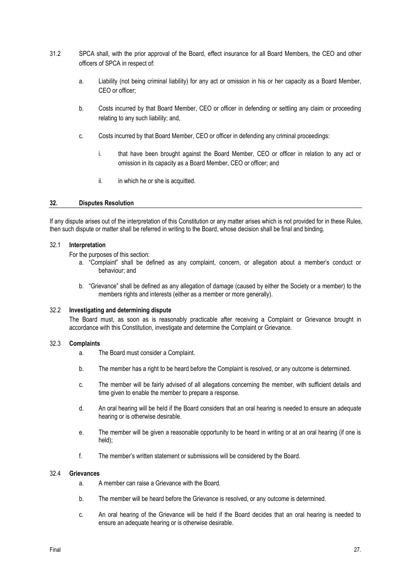- 31.2 SPCA shall, with the prior approval of the Board, effect insurance for all Board Members, the CEO and other officers of SPCA in respect of:
	- a. Liability (not being criminal liability) for any act or omission in his or her capacity as a Board Member, CEO or officer;
	- b. Costs incurred by that Board Member, CEO or officer in defending or settling any claim or proceeding relating to any such liability; and,
	- c. Costs incurred by that Board Member, CEO or officer in defending any criminal proceedings:
		- i. that have been brought against the Board Member, CEO or officer in relation to any act or omission in its capacity as a Board Member, CEO or officer; and
		- ii. in which he or she is acquitted.

#### <span id="page-26-1"></span><span id="page-26-0"></span>**32. Disputes Resolution**

If any dispute arises out of the interpretation of this Constitution or any matter arises which is not provided for in these Rules, then such dispute or matter shall be referred in writing to the Board, whose decision shall be final and binding.

#### 32.1 **Interpretation**

For the purposes of this section:

- a. "Complaint" shall be defined as any complaint, concern, or allegation about a member's conduct or behaviour; and
- b. "Grievance" shall be defined as any allegation of damage (caused by either the Society or a member) to the members rights and interests (either as a member or more generally).

#### 32.2 **Investigating and determining dispute**

The Board must, as soon as is reasonably practicable after receiving a Complaint or Grievance brought in accordance with this Constitution, investigate and determine the Complaint or Grievance.

#### 32.3 **Complaints**

- a. The Board must consider a Complaint.
- b. The member has a right to be heard before the Complaint is resolved, or any outcome is determined.
- c. The member will be fairly advised of all allegations concerning the member, with sufficient details and time given to enable the member to prepare a response.
- d. An oral hearing will be held if the Board considers that an oral hearing is needed to ensure an adequate hearing or is otherwise desirable.
- e. The member will be given a reasonable opportunity to be heard in writing or at an oral hearing (if one is held);
- f. The member's written statement or submissions will be considered by the Board.

#### 32.4 **Grievances**

- a. A member can raise a Grievance with the Board.
- b. The member will be heard before the Grievance is resolved, or any outcome is determined.
- c. An oral hearing of the Grievance will be held if the Board decides that an oral hearing is needed to ensure an adequate hearing or is otherwise desirable.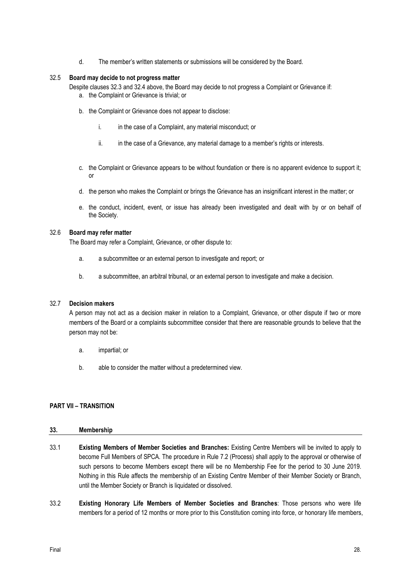d. The member's written statements or submissions will be considered by the Board.

## 32.5 **Board may decide to not progress matter**

Despite clauses 32.3 and 32.4 above, the Board may decide to not progress a Complaint or Grievance if: a. the Complaint or Grievance is trivial; or

- b. the Complaint or Grievance does not appear to disclose:
	- i. in the case of a Complaint, any material misconduct; or
	- ii. in the case of a Grievance, any material damage to a member's rights or interests.
- c. the Complaint or Grievance appears to be without foundation or there is no apparent evidence to support it; or
- d. the person who makes the Complaint or brings the Grievance has an insignificant interest in the matter; or
- e. the conduct, incident, event, or issue has already been investigated and dealt with by or on behalf of the Society.

## 32.6 **Board may refer matter**

The Board may refer a Complaint, Grievance, or other dispute to:

- a. a subcommittee or an external person to investigate and report; or
- b. a subcommittee, an arbitral tribunal, or an external person to investigate and make a decision.

## 32.7 **Decision makers**

A person may not act as a decision maker in relation to a Complaint, Grievance, or other dispute if two or more members of the Board or a complaints subcommittee consider that there are reasonable grounds to believe that the person may not be:

- a. impartial; or
- b. able to consider the matter without a predetermined view.

## <span id="page-27-0"></span>**PART VII – TRANSITION**

#### **33. Membership**

- 33.1 **Existing Members of Member Societies and Branches:** Existing Centre Members will be invited to apply to become Full Members of SPCA. The procedure in Rule 7.2 (Process) shall apply to the approval or otherwise of such persons to become Members except there will be no Membership Fee for the period to 30 June 2019. Nothing in this Rule affects the membership of an Existing Centre Member of their Member Society or Branch, until the Member Society or Branch is liquidated or dissolved.
- 33.2 **Existing Honorary Life Members of Member Societies and Branches**: Those persons who were life members for a period of 12 months or more prior to this Constitution coming into force, or honorary life members,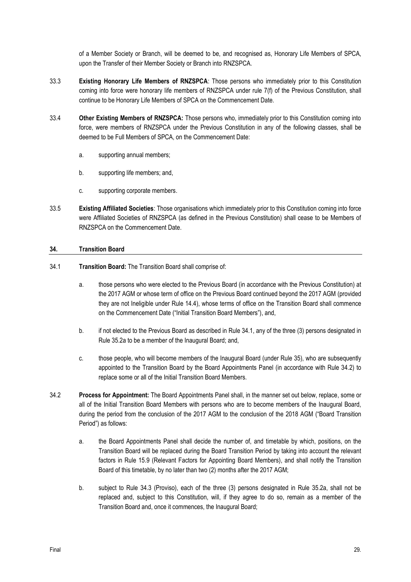of a Member Society or Branch, will be deemed to be, and recognised as, Honorary Life Members of SPCA, upon the Transfer of their Member Society or Branch into RNZSPCA.

- 33.3 **Existing Honorary Life Members of RNZSPCA**: Those persons who immediately prior to this Constitution coming into force were honorary life members of RNZSPCA under rule 7(f) of the Previous Constitution, shall continue to be Honorary Life Members of SPCA on the Commencement Date.
- 33.4 **Other Existing Members of RNZSPCA:** Those persons who, immediately prior to this Constitution coming into force, were members of RNZSPCA under the Previous Constitution in any of the following classes, shall be deemed to be Full Members of SPCA, on the Commencement Date:
	- a. supporting annual members;
	- b. supporting life members; and,
	- c. supporting corporate members.
- 33.5 **Existing Affiliated Societies**: Those organisations which immediately prior to this Constitution coming into force were Affiliated Societies of RNZSPCA (as defined in the Previous Constitution) shall cease to be Members of RNZSPCA on the Commencement Date.

## **34. Transition Board**

- 34.1 **Transition Board:** The Transition Board shall comprise of:
	- a. those persons who were elected to the Previous Board (in accordance with the Previous Constitution) at the 2017 AGM or whose term of office on the Previous Board continued beyond the 2017 AGM (provided they are not Ineligible under Rule 14.4), whose terms of office on the Transition Board shall commence on the Commencement Date ("Initial Transition Board Members"), and,
	- b. if not elected to the Previous Board as described in Rule 34.1, any of the three (3) persons designated in Rule 35.2a to be a member of the Inaugural Board; and,
	- c. those people, who will become members of the Inaugural Board (under Rule 35), who are subsequently appointed to the Transition Board by the Board Appointments Panel (in accordance with Rule 34.2) to replace some or all of the Initial Transition Board Members.
- 34.2 **Process for Appointment:** The Board Appointments Panel shall, in the manner set out below, replace, some or all of the Initial Transition Board Members with persons who are to become members of the Inaugural Board, during the period from the conclusion of the 2017 AGM to the conclusion of the 2018 AGM ("Board Transition Period") as follows:
	- a. the Board Appointments Panel shall decide the number of, and timetable by which, positions, on the Transition Board will be replaced during the Board Transition Period by taking into account the relevant factors in Rule 15.9 (Relevant Factors for Appointing Board Members), and shall notify the Transition Board of this timetable, by no later than two (2) months after the 2017 AGM;
	- b. subject to Rule 34.3 (Proviso), each of the three (3) persons designated in Rule 35.2a, shall not be replaced and, subject to this Constitution, will, if they agree to do so, remain as a member of the Transition Board and, once it commences, the Inaugural Board;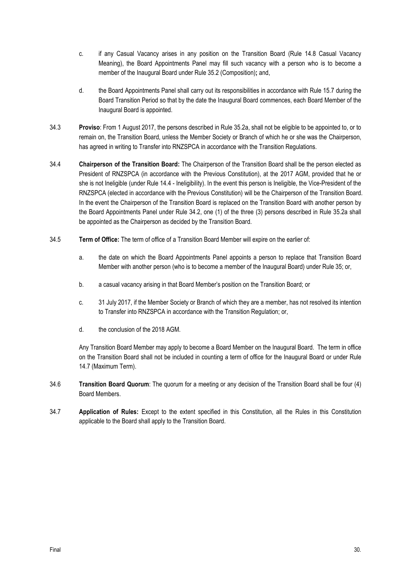- c. if any Casual Vacancy arises in any position on the Transition Board (Rule 14.8 Casual Vacancy Meaning), the Board Appointments Panel may fill such vacancy with a person who is to become a member of the Inaugural Board under Rule 35.2 (Composition)**;** and,
- d. the Board Appointments Panel shall carry out its responsibilities in accordance with Rule 15.7 during the Board Transition Period so that by the date the Inaugural Board commences, each Board Member of the Inaugural Board is appointed.
- 34.3 **Proviso**: From 1 August 2017, the persons described in Rule 35.2a, shall not be eligible to be appointed to, or to remain on, the Transition Board, unless the Member Society or Branch of which he or she was the Chairperson, has agreed in writing to Transfer into RNZSPCA in accordance with the Transition Regulations.
- 34.4 **Chairperson of the Transition Board:** The Chairperson of the Transition Board shall be the person elected as President of RNZSPCA (in accordance with the Previous Constitution), at the 2017 AGM, provided that he or she is not Ineligible (under Rule 14.4 - Ineligibility). In the event this person is Ineligible, the Vice-President of the RNZSPCA (elected in accordance with the Previous Constitution) will be the Chairperson of the Transition Board. In the event the Chairperson of the Transition Board is replaced on the Transition Board with another person by the Board Appointments Panel under Rule 34.2, one (1) of the three (3) persons described in Rule 35.2a shall be appointed as the Chairperson as decided by the Transition Board.
- 34.5 **Term of Office:** The term of office of a Transition Board Member will expire on the earlier of:
	- a. the date on which the Board Appointments Panel appoints a person to replace that Transition Board Member with another person (who is to become a member of the Inaugural Board) under Rule 35; or,
	- b. a casual vacancy arising in that Board Member's position on the Transition Board; or
	- c. 31 July 2017, if the Member Society or Branch of which they are a member, has not resolved its intention to Transfer into RNZSPCA in accordance with the Transition Regulation; or,
	- d. the conclusion of the 2018 AGM.

Any Transition Board Member may apply to become a Board Member on the Inaugural Board. The term in office on the Transition Board shall not be included in counting a term of office for the Inaugural Board or under Rule 14.7 (Maximum Term).

- 34.6 **Transition Board Quorum**: The quorum for a meeting or any decision of the Transition Board shall be four (4) Board Members.
- 34.7 **Application of Rules:** Except to the extent specified in this Constitution, all the Rules in this Constitution applicable to the Board shall apply to the Transition Board.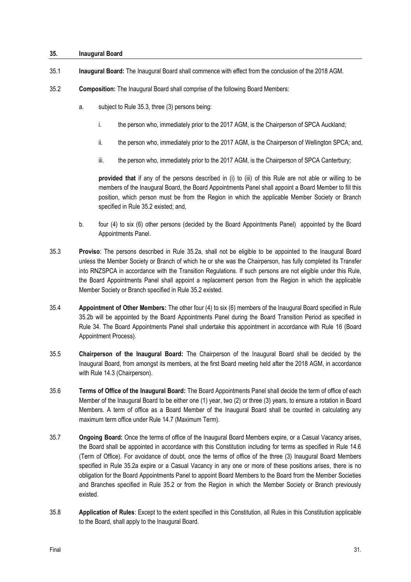#### <span id="page-30-0"></span>**35. Inaugural Board**

- <span id="page-30-1"></span>35.1 **Inaugural Board:** The Inaugural Board shall commence with effect from the conclusion of the 2018 AGM.
- 35.2 **Composition:** The Inaugural Board shall comprise of the following Board Members:
	- a. subject to Rule 35.3, three (3) persons being:
		- i. the person who, immediately prior to the 2017 AGM, is the Chairperson of SPCA Auckland;
		- ii. the person who, immediately prior to the 2017 AGM, is the Chairperson of Wellington SPCA; and,
		- iii. the person who, immediately prior to the 2017 AGM, is the Chairperson of SPCA Canterbury;

**provided that** if any of the persons described in (i) to (iii) of this Rule are not able or willing to be members of the Inaugural Board, the Board Appointments Panel shall appoint a Board Member to fill this position, which person must be from the Region in which the applicable Member Society or Branch specified in Rule 35.2 existed; and,

- b. four (4) to six (6) other persons (decided by the Board Appointments Panel) appointed by the Board Appointments Panel.
- 35.3 **Proviso**: The persons described in Rule 35.2a, shall not be eligible to be appointed to the Inaugural Board unless the Member Society or Branch of which he or she was the Chairperson, has fully completed its Transfer into RNZSPCA in accordance with the Transition Regulations. If such persons are not eligible under this Rule, the Board Appointments Panel shall appoint a replacement person from the Region in which the applicable Member Society or Branch specified in Rule 35.2 existed.
- 35.4 **Appointment of Other Members:** The other four (4) to six (6) members of the Inaugural Board specified in Rule 35.2b will be appointed by the Board Appointments Panel during the Board Transition Period as specified in Rule 34. The Board Appointments Panel shall undertake this appointment in accordance with Rule 16 (Board Appointment Process).
- 35.5 **Chairperson of the Inaugural Board:** The Chairperson of the Inaugural Board shall be decided by the Inaugural Board, from amongst its members, at the first Board meeting held after the 2018 AGM, in accordance with Rule 14.3 (Chairperson).
- 35.6 **Terms of Office of the Inaugural Board:** The Board Appointments Panel shall decide the term of office of each Member of the Inaugural Board to be either one (1) year, two (2) or three (3) years, to ensure a rotation in Board Members. A term of office as a Board Member of the Inaugural Board shall be counted in calculating any maximum term office under Rule 14.7 (Maximum Term).
- 35.7 **Ongoing Board:** Once the terms of office of the Inaugural Board Members expire, or a Casual Vacancy arises, the Board shall be appointed in accordance with this Constitution including for terms as specified in Rule 14.6 (Term of Office). For avoidance of doubt, once the terms of office of the three (3) Inaugural Board Members specified in Rule 35.2a expire or a Casual Vacancy in any one or more of these positions arises, there is no obligation for the Board Appointments Panel to appoint Board Members to the Board from the Member Societies and Branches specified in Rule 35.2 or from the Region in which the Member Society or Branch previously existed.
- 35.8 **Application of Rules**: Except to the extent specified in this Constitution, all Rules in this Constitution applicable to the Board, shall apply to the Inaugural Board.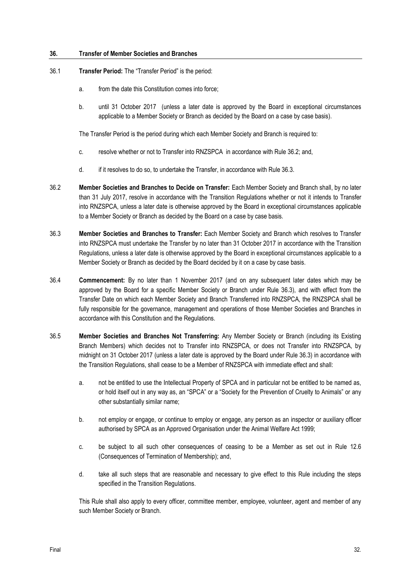## <span id="page-31-0"></span>**36. Transfer of Member Societies and Branches**

## 36.1 **Transfer Period:** The "Transfer Period" is the period:

- a. from the date this Constitution comes into force;
- b. until 31 October 2017 (unless a later date is approved by the Board in exceptional circumstances applicable to a Member Society or Branch as decided by the Board on a case by case basis).

The Transfer Period is the period during which each Member Society and Branch is required to:

- c. resolve whether or not to Transfer into RNZSPCA in accordance with Rule 36.2; and,
- d. if it resolves to do so, to undertake the Transfer, in accordance with Rule 36.3.
- 36.2 **Member Societies and Branches to Decide on Transfer:** Each Member Society and Branch shall, by no later than 31 July 2017, resolve in accordance with the Transition Regulations whether or not it intends to Transfer into RNZSPCA, unless a later date is otherwise approved by the Board in exceptional circumstances applicable to a Member Society or Branch as decided by the Board on a case by case basis.
- 36.3 **Member Societies and Branches to Transfer:** Each Member Society and Branch which resolves to Transfer into RNZSPCA must undertake the Transfer by no later than 31 October 2017 in accordance with the Transition Regulations, unless a later date is otherwise approved by the Board in exceptional circumstances applicable to a Member Society or Branch as decided by the Board decided by it on a case by case basis.
- 36.4 **Commencement:** By no later than 1 November 2017 (and on any subsequent later dates which may be approved by the Board for a specific Member Society or Branch under Rule 36.3), and with effect from the Transfer Date on which each Member Society and Branch Transferred into RNZSPCA, the RNZSPCA shall be fully responsible for the governance, management and operations of those Member Societies and Branches in accordance with this Constitution and the Regulations.
- 36.5 **Member Societies and Branches Not Transferring:** Any Member Society or Branch (including its Existing Branch Members) which decides not to Transfer into RNZSPCA, or does not Transfer into RNZSPCA, by midnight on 31 October 2017 (unless a later date is approved by the Board under Rule 36.3) in accordance with the Transition Regulations, shall cease to be a Member of RNZSPCA with immediate effect and shall:
	- a. not be entitled to use the Intellectual Property of SPCA and in particular not be entitled to be named as, or hold itself out in any way as, an "SPCA" or a "Society for the Prevention of Cruelty to Animals" or any other substantially similar name;
	- b. not employ or engage, or continue to employ or engage, any person as an inspector or auxiliary officer authorised by SPCA as an Approved Organisation under the Animal Welfare Act 1999;
	- c. be subject to all such other consequences of ceasing to be a Member as set out in Rule 12.6 (Consequences of Termination of Membership); and,
	- d. take all such steps that are reasonable and necessary to give effect to this Rule including the steps specified in the Transition Regulations.

This Rule shall also apply to every officer, committee member, employee, volunteer, agent and member of any such Member Society or Branch.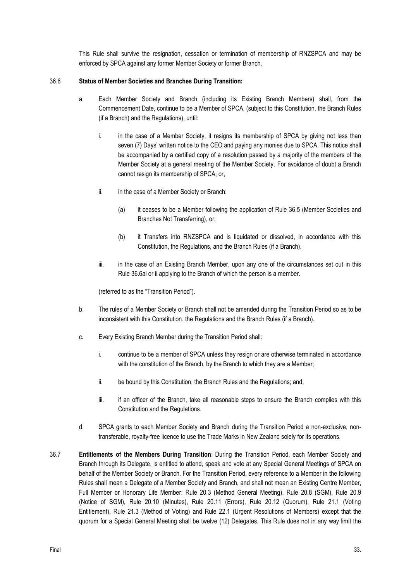This Rule shall survive the resignation, cessation or termination of membership of RNZSPCA and may be enforced by SPCA against any former Member Society or former Branch.

## 36.6 **Status of Member Societies and Branches During Transition:**

- a. Each Member Society and Branch (including its Existing Branch Members) shall, from the Commencement Date, continue to be a Member of SPCA, (subject to this Constitution, the Branch Rules (if a Branch) and the Regulations), until:
	- i. in the case of a Member Society, it resigns its membership of SPCA by giving not less than seven (7) Days' written notice to the CEO and paying any monies due to SPCA. This notice shall be accompanied by a certified copy of a resolution passed by a majority of the members of the Member Society at a general meeting of the Member Society. For avoidance of doubt a Branch cannot resign its membership of SPCA; or,
	- ii. in the case of a Member Society or Branch:
		- (a) it ceases to be a Member following the application of Rule 36.5 (Member Societies and Branches Not Transferring), or,
		- (b) it Transfers into RNZSPCA and is liquidated or dissolved, in accordance with this Constitution, the Regulations, and the Branch Rules (if a Branch).
	- iii. in the case of an Existing Branch Member, upon any one of the circumstances set out in this Rule 36.6ai or ii applying to the Branch of which the person is a member.

(referred to as the "Transition Period").

- b. The rules of a Member Society or Branch shall not be amended during the Transition Period so as to be inconsistent with this Constitution, the Regulations and the Branch Rules (if a Branch).
- c. Every Existing Branch Member during the Transition Period shall:
	- i. continue to be a member of SPCA unless they resign or are otherwise terminated in accordance with the constitution of the Branch, by the Branch to which they are a Member;
	- ii. be bound by this Constitution, the Branch Rules and the Regulations; and,
	- iii. if an officer of the Branch, take all reasonable steps to ensure the Branch complies with this Constitution and the Regulations.
- d. SPCA grants to each Member Society and Branch during the Transition Period a non-exclusive, nontransferable, royalty-free licence to use the Trade Marks in New Zealand solely for its operations.
- 36.7 **Entitlements of the Members During Transition**: During the Transition Period, each Member Society and Branch through its Delegate, is entitled to attend, speak and vote at any Special General Meetings of SPCA on behalf of the Member Society or Branch. For the Transition Period, every reference to a Member in the following Rules shall mean a Delegate of a Member Society and Branch, and shall not mean an Existing Centre Member, Full Member or Honorary Life Member: Rule 20.3 (Method General Meeting), Rule 20.8 (SGM), Rule 20.9 (Notice of SGM), Rule 20.10 (Minutes), Rule 20.11 (Errors), Rule 20.12 (Quorum), Rule 21.1 (Voting Entitlement), Rule 21.3 (Method of Voting) and Rule 22.1 (Urgent Resolutions of Members) except that the quorum for a Special General Meeting shall be twelve (12) Delegates. This Rule does not in any way limit the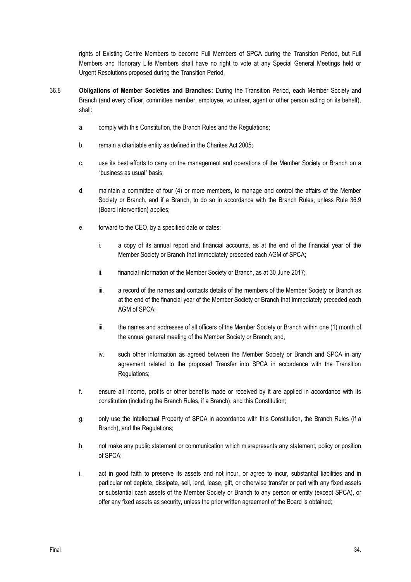rights of Existing Centre Members to become Full Members of SPCA during the Transition Period, but Full Members and Honorary Life Members shall have no right to vote at any Special General Meetings held or Urgent Resolutions proposed during the Transition Period.

- 36.8 **Obligations of Member Societies and Branches:** During the Transition Period, each Member Society and Branch (and every officer, committee member, employee, volunteer, agent or other person acting on its behalf), shall:
	- a. comply with this Constitution, the Branch Rules and the Regulations;
	- b. remain a charitable entity as defined in the Charites Act 2005;
	- c. use its best efforts to carry on the management and operations of the Member Society or Branch on a "business as usual" basis;
	- d. maintain a committee of four (4) or more members, to manage and control the affairs of the Member Society or Branch, and if a Branch, to do so in accordance with the Branch Rules, unless Rule 36.9 (Board Intervention) applies;
	- e. forward to the CEO, by a specified date or dates:
		- i. a copy of its annual report and financial accounts, as at the end of the financial year of the Member Society or Branch that immediately preceded each AGM of SPCA;
		- ii. financial information of the Member Society or Branch, as at 30 June 2017;
		- iii. a record of the names and contacts details of the members of the Member Society or Branch as at the end of the financial year of the Member Society or Branch that immediately preceded each AGM of SPCA;
		- iii. the names and addresses of all officers of the Member Society or Branch within one (1) month of the annual general meeting of the Member Society or Branch; and,
		- iv. such other information as agreed between the Member Society or Branch and SPCA in any agreement related to the proposed Transfer into SPCA in accordance with the Transition Regulations;
	- f. ensure all income, profits or other benefits made or received by it are applied in accordance with its constitution (including the Branch Rules, if a Branch), and this Constitution;
	- g. only use the Intellectual Property of SPCA in accordance with this Constitution, the Branch Rules (if a Branch), and the Regulations;
	- h. not make any public statement or communication which misrepresents any statement, policy or position of SPCA;
	- i. act in good faith to preserve its assets and not incur, or agree to incur, substantial liabilities and in particular not deplete, dissipate, sell, lend, lease, gift, or otherwise transfer or part with any fixed assets or substantial cash assets of the Member Society or Branch to any person or entity (except SPCA), or offer any fixed assets as security, unless the prior written agreement of the Board is obtained;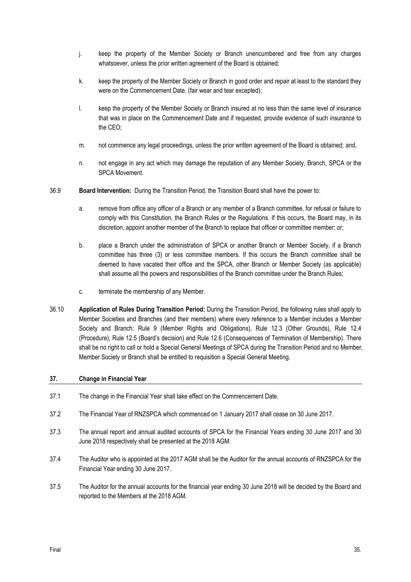- j. keep the property of the Member Society or Branch unencumbered and free from any charges whatsoever, unless the prior written agreement of the Board is obtained;
- k. keep the property of the Member Society or Branch in good order and repair at least to the standard they were on the Commencement Date, (fair wear and tear excepted);
- l. keep the property of the Member Society or Branch insured at no less than the same level of insurance that was in place on the Commencement Date and if requested, provide evidence of such insurance to the CEO;
- m. not commence any legal proceedings, unless the prior written agreement of the Board is obtained; and,
- n. not engage in any act which may damage the reputation of any Member Society, Branch, SPCA or the SPCA Movement.
- 36.9 **Board Intervention:** During the Transition Period, the Transition Board shall have the power to:
	- a. remove from office any officer of a Branch or any member of a Branch committee, for refusal or failure to comply with this Constitution, the Branch Rules or the Regulations. If this occurs, the Board may, in its discretion, appoint another member of the Branch to replace that officer or committee member; or;
	- b. place a Branch under the administration of SPCA or another Branch or Member Society, if a Branch committee has three (3) or less committee members. If this occurs the Branch committee shall be deemed to have vacated their office and the SPCA, other Branch or Member Society (as applicable) shall assume all the powers and responsibilities of the Branch committee under the Branch Rules;
	- c. terminate the membership of any Member.
- 36.10 **Application of Rules During Transition Period:** During the Transition Period, the following rules shall apply to Member Societies and Branches (and their members) where every reference to a Member includes a Member Society and Branch: Rule [9](#page-7-0) (Member Rights and Obligations), Rule [12.3](#page-8-4) (Other Grounds), Rule [12.4](#page-8-5) (Procedure), Rule [12.5](#page-8-6) (Board's decision) and Rule [12.6](#page-8-7) (Consequences of Termination of Membership). There shall be no right to call or hold a Special General Meetings of SPCA during the Transition Period and no Member, Member Society or Branch shall be entitled to requisition a Special General Meeting.

## **37. Change in Financial Year**

- 37.1 The change in the Financial Year shall take effect on the Commencement Date.
- 37.2 The Financial Year of RNZSPCA which commenced on 1 January 2017 shall cease on 30 June 2017.
- 37.3 The annual report and annual audited accounts of SPCA for the Financial Years ending 30 June 2017 and 30 June 2018 respectively shall be presented at the 2018 AGM.
- 37.4 The Auditor who is appointed at the 2017 AGM shall be the Auditor for the annual accounts of RNZSPCA for the Financial Year ending 30 June 2017.
- 37.5 The Auditor for the annual accounts for the financial year ending 30 June 2018 will be decided by the Board and reported to the Members at the 2018 AGM.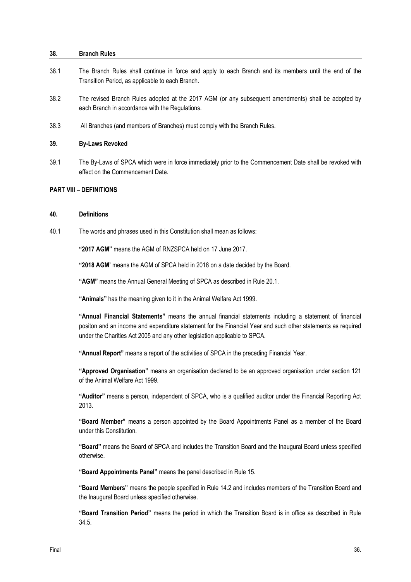#### **38. Branch Rules**

- 38.1 The Branch Rules shall continue in force and apply to each Branch and its members until the end of the Transition Period, as applicable to each Branch.
- 38.2 The revised Branch Rules adopted at the 2017 AGM (or any subsequent amendments) shall be adopted by each Branch in accordance with the Regulations.
- 38.3 All Branches (and members of Branches) must comply with the Branch Rules.

#### **39. By-Laws Revoked**

39.1 The By-Laws of SPCA which were in force immediately prior to the Commencement Date shall be revoked with effect on the Commencement Date.

## <span id="page-35-0"></span>**PART VIII – DEFINITIONS**

#### **40. Definitions**

40.1 The words and phrases used in this Constitution shall mean as follows:

**"2017 AGM"** means the AGM of RNZSPCA held on 17 June 2017.

**"2018 AGM'** means the AGM of SPCA held in 2018 on a date decided by the Board.

**"AGM"** means the Annual General Meeting of SPCA as described in Rule [20.1.](#page-18-3)

**"Animals"** has the meaning given to it in the Animal Welfare Act 1999.

**"Annual Financial Statements"** means the annual financial statements including a statement of financial positon and an income and expenditure statement for the Financial Year and such other statements as required under the Charities Act 2005 and any other legislation applicable to SPCA.

**"Annual Report"** means a report of the activities of SPCA in the preceding Financial Year.

**"Approved Organisation"** means an organisation declared to be an approved organisation under section 121 of the Animal Welfare Act 1999.

**"Auditor"** means a person, independent of SPCA, who is a qualified auditor under the Financial Reporting Act 2013.

**"Board Member"** means a person appointed by the Board Appointments Panel as a member of the Board under this Constitution.

**"Board"** means the Board of SPCA and includes the Transition Board and the Inaugural Board unless specified otherwise.

**"Board Appointments Panel"** means the panel described in Rule 15.

**"Board Members"** means the people specified in Rule 14.2 and includes members of the Transition Board and the Inaugural Board unless specified otherwise.

**"Board Transition Period"** means the period in which the Transition Board is in office as described in Rule 34.5.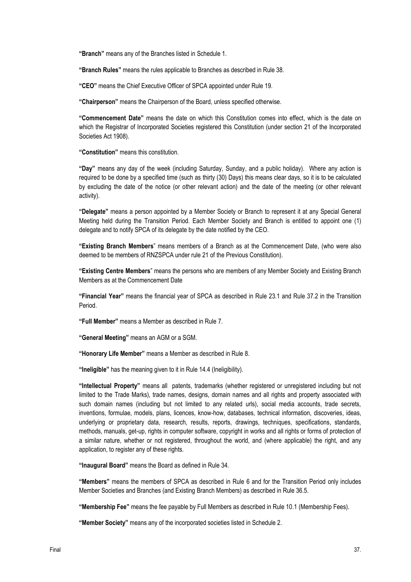**"Branch"** means any of the Branches listed in Schedule 1.

**"Branch Rules"** means the rules applicable to Branches as described in Rule 38.

**"CEO"** means the Chief Executive Officer of SPCA appointed under Rule 19.

**"Chairperson"** means the Chairperson of the Board, unless specified otherwise.

**"Commencement Date"** means the date on which this Constitution comes into effect, which is the date on which the Registrar of Incorporated Societies registered this Constitution (under section 21 of the Incorporated Societies Act 1908).

**"Constitution"** means this constitution.

**"Day"** means any day of the week (including Saturday, Sunday, and a public holiday). Where any action is required to be done by a specified time (such as thirty (30) Days) this means clear days, so it is to be calculated by excluding the date of the notice (or other relevant action) and the date of the meeting (or other relevant activity).

**"Delegate"** means a person appointed by a Member Society or Branch to represent it at any Special General Meeting held during the Transition Period. Each Member Society and Branch is entitled to appoint one (1) delegate and to notify SPCA of its delegate by the date notified by the CEO.

**"Existing Branch Members**" means members of a Branch as at the Commencement Date, (who were also deemed to be members of RNZSPCA under rule 21 of the Previous Constitution).

**"Existing Centre Members**" means the persons who are members of any Member Society and Existing Branch Members as at the Commencement Date

**"Financial Year"** means the financial year of SPCA as described in Rule 23.1 and Rule 37.2 in the Transition Period.

**"Full Member"** means a Member as described in Rule [7.](#page-5-2)

**"General Meeting"** means an AGM or a SGM.

**"Honorary Life Member"** means a Member as described in Rul[e 8.](#page-6-0)

**"Ineligible"** has the meaning given to it in Rule 14.4 (Ineligibility).

**"Intellectual Property"** means all patents, trademarks (whether registered or unregistered including but not limited to the Trade Marks), trade names, designs, domain names and all rights and property associated with such domain names (including but not limited to any related urls), social media accounts, trade secrets, inventions, formulae, models, plans, licences, know-how, databases, technical information, discoveries, ideas, underlying or proprietary data, research, results, reports, drawings, techniques, specifications, standards, methods, manuals, get-up, rights in computer software, copyright in works and all rights or forms of protection of a similar nature, whether or not registered, throughout the world, and (where applicable) the right, and any application, to register any of these rights.

**"Inaugural Board"** means the Board as defined in Rule 34.

**"Members"** means the members of SPCA as described in Rule [6](#page-5-1) and for the Transition Period only includes Member Societies and Branches (and Existing Branch Members) as described in Rule 36.5.

**"Membership Fee"** means the fee payable by Full Members as described in Rule 10.1 (Membership Fees).

**"Member Society"** means any of the incorporated societies listed in Schedule 2.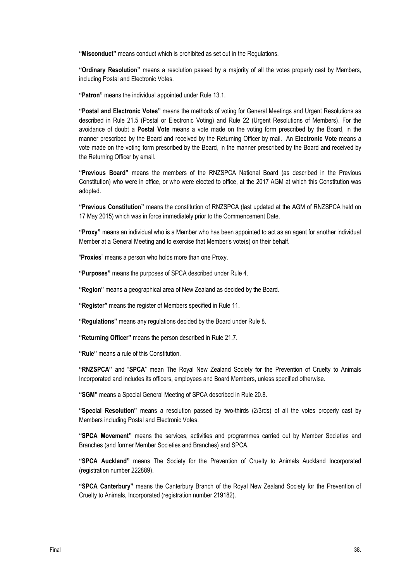**"Misconduct"** means conduct which is prohibited as set out in the Regulations.

**"Ordinary Resolution"** means a resolution passed by a majority of all the votes properly cast by Members, including Postal and Electronic Votes.

**"Patron"** means the individual appointed under Rul[e 13.1.](#page-9-2)

**"Postal and Electronic Votes"** means the methods of voting for General Meetings and Urgent Resolutions as described in Rule 21.5 (Postal or Electronic Voting) and Rule 22 (Urgent Resolutions of Members). For the avoidance of doubt a **Postal Vote** means a vote made on the voting form prescribed by the Board, in the manner prescribed by the Board and received by the Returning Officer by mail. An **Electronic Vote** means a vote made on the voting form prescribed by the Board, in the manner prescribed by the Board and received by the Returning Officer by email.

**"Previous Board"** means the members of the RNZSPCA National Board (as described in the Previous Constitution) who were in office, or who were elected to office, at the 2017 AGM at which this Constitution was adopted.

**"Previous Constitution"** means the constitution of RNZSPCA (last updated at the AGM of RNZSPCA held on 17 May 2015) which was in force immediately prior to the Commencement Date.

**"Proxy"** means an individual who is a Member who has been appointed to act as an agent for another individual Member at a General Meeting and to exercise that Member's vote(s) on their behalf.

"**Proxies**" means a person who holds more than one Proxy.

**"Purposes"** means the purposes of SPCA described under Rule 4.

**"Region"** means a geographical area of New Zealand as decided by the Board.

**"Register"** means the register of Members specified in Rule 11.

**"Regulations"** means any regulations decided by the Board under Rule 8.

**"Returning Officer"** means the person described in Rule 21.7.

**"Rule"** means a rule of this Constitution.

**"RNZSPCA"** and "**SPCA**" mean The Royal New Zealand Society for the Prevention of Cruelty to Animals Incorporated and includes its officers, employees and Board Members, unless specified otherwise.

**"SGM"** means a Special General Meeting of SPCA described in Rule 20.8.

**"Special Resolution"** means a resolution passed by two-thirds (2/3rds) of all the votes properly cast by Members including Postal and Electronic Votes.

**"SPCA Movement"** means the services, activities and programmes carried out by Member Societies and Branches (and former Member Societies and Branches) and SPCA.

**"SPCA Auckland"** means The Society for the Prevention of Cruelty to Animals Auckland Incorporated (registration number 222889).

**"SPCA Canterbury"** means the Canterbury Branch of the Royal New Zealand Society for the Prevention of Cruelty to Animals, Incorporated (registration number 219182).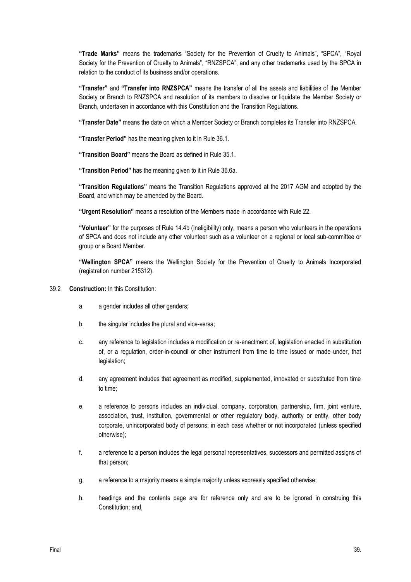**"Trade Marks"** means the trademarks "Society for the Prevention of Cruelty to Animals", "SPCA", "Royal Society for the Prevention of Cruelty to Animals", "RNZSPCA", and any other trademarks used by the SPCA in relation to the conduct of its business and/or operations.

**"Transfer"** and **"Transfer into RNZSPCA"** means the transfer of all the assets and liabilities of the Member Society or Branch to RNZSPCA and resolution of its members to dissolve or liquidate the Member Society or Branch, undertaken in accordance with this Constitution and the Transition Regulations.

**"Transfer Date"** means the date on which a Member Society or Branch completes its Transfer into RNZSPCA.

**"Transfer Period"** has the meaning given to it in Rule 36.1.

**"Transition Board"** means the Board as defined in Rul[e 35.1.](#page-30-1)

**"Transition Period"** has the meaning given to it in Rule 36.6a.

**"Transition Regulations"** means the Transition Regulations approved at the 2017 AGM and adopted by the Board, and which may be amended by the Board.

**"Urgent Resolution"** means a resolution of the Members made in accordance with Rule 22.

**"Volunteer"** for the purposes of Rule 14.4b (Ineligibility) only, means a person who volunteers in the operations of SPCA and does not include any other volunteer such as a volunteer on a regional or local sub-committee or group or a Board Member.

**"Wellington SPCA"** means the Wellington Society for the Prevention of Cruelty to Animals Incorporated (registration number 215312).

- 39.2 **Construction:** In this Constitution:
	- a. a gender includes all other genders;
	- b. the singular includes the plural and vice-versa:
	- c. any reference to legislation includes a modification or re-enactment of, legislation enacted in substitution of, or a regulation, order-in-council or other instrument from time to time issued or made under, that legislation;
	- d. any agreement includes that agreement as modified, supplemented, innovated or substituted from time to time;
	- e. a reference to persons includes an individual, company, corporation, partnership, firm, joint venture, association, trust, institution, governmental or other regulatory body, authority or entity, other body corporate, unincorporated body of persons; in each case whether or not incorporated (unless specified otherwise);
	- f. a reference to a person includes the legal personal representatives, successors and permitted assigns of that person;
	- g. a reference to a majority means a simple majority unless expressly specified otherwise;
	- h. headings and the contents page are for reference only and are to be ignored in construing this Constitution; and,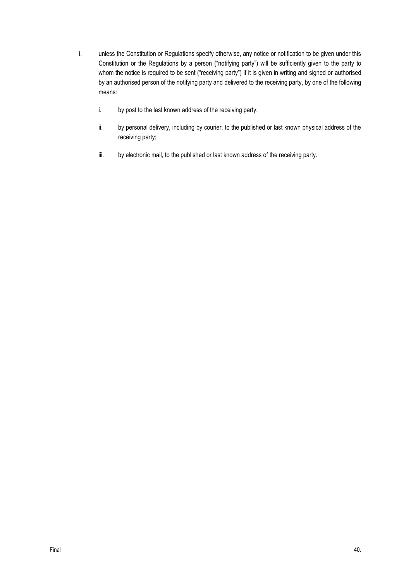- i. unless the Constitution or Regulations specify otherwise, any notice or notification to be given under this Constitution or the Regulations by a person ("notifying party") will be sufficiently given to the party to whom the notice is required to be sent ("receiving party") if it is given in writing and signed or authorised by an authorised person of the notifying party and delivered to the receiving party, by one of the following means:
	- i. by post to the last known address of the receiving party;
	- ii. by personal delivery, including by courier, to the published or last known physical address of the receiving party;
	- iii. by electronic mail, to the published or last known address of the receiving party.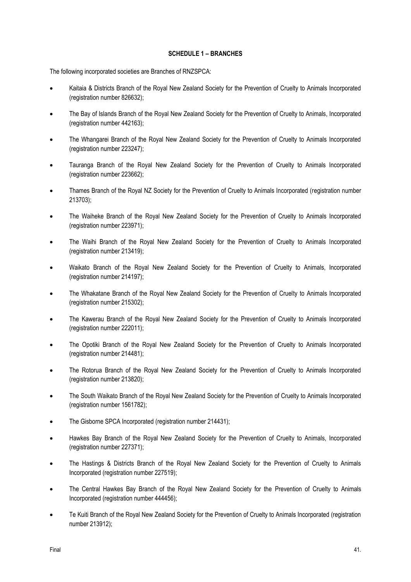## **SCHEDULE 1 – BRANCHES**

The following incorporated societies are Branches of RNZSPCA:

- Kaitaia & Districts Branch of the Royal New Zealand Society for the Prevention of Cruelty to Animals Incorporated (registration number 826632);
- The Bay of Islands Branch of the Royal New Zealand Society for the Prevention of Cruelty to Animals, Incorporated (registration number 442163);
- The Whangarei Branch of the Royal New Zealand Society for the Prevention of Cruelty to Animals Incorporated (registration number 223247);
- Tauranga Branch of the Royal New Zealand Society for the Prevention of Cruelty to Animals Incorporated (registration number 223662);
- Thames Branch of the Royal NZ Society for the Prevention of Cruelty to Animals Incorporated (registration number 213703);
- The Waiheke Branch of the Royal New Zealand Society for the Prevention of Cruelty to Animals Incorporated (registration number 223971);
- The Waihi Branch of the Royal New Zealand Society for the Prevention of Cruelty to Animals Incorporated (registration number 213419);
- Waikato Branch of the Royal New Zealand Society for the Prevention of Cruelty to Animals, Incorporated (registration number 214197);
- The Whakatane Branch of the Royal New Zealand Society for the Prevention of Cruelty to Animals Incorporated (registration number 215302);
- The Kawerau Branch of the Royal New Zealand Society for the Prevention of Cruelty to Animals Incorporated (registration number 222011);
- The Opotiki Branch of the Royal New Zealand Society for the Prevention of Cruelty to Animals Incorporated (registration number 214481);
- The Rotorua Branch of the Royal New Zealand Society for the Prevention of Cruelty to Animals Incorporated (registration number 213820);
- The South Waikato Branch of the Royal New Zealand Society for the Prevention of Cruelty to Animals Incorporated (registration number 1561782);
- The Gisborne SPCA Incorporated (registration number 214431);
- Hawkes Bay Branch of the Royal New Zealand Society for the Prevention of Cruelty to Animals, Incorporated (registration number 227371);
- The Hastings & Districts Branch of the Royal New Zealand Society for the Prevention of Cruelty to Animals Incorporated (registration number 227519);
- The Central Hawkes Bay Branch of the Royal New Zealand Society for the Prevention of Cruelty to Animals Incorporated (registration number 444456);
- Te Kuiti Branch of the Royal New Zealand Society for the Prevention of Cruelty to Animals Incorporated (registration number 213912);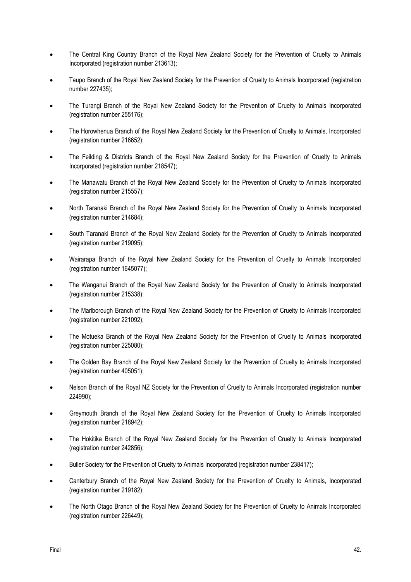- The Central King Country Branch of the Royal New Zealand Society for the Prevention of Cruelty to Animals Incorporated (registration number 213613);
- Taupo Branch of the Royal New Zealand Society for the Prevention of Cruelty to Animals Incorporated (registration number 227435);
- The Turangi Branch of the Royal New Zealand Society for the Prevention of Cruelty to Animals Incorporated (registration number 255176);
- The Horowhenua Branch of the Royal New Zealand Society for the Prevention of Cruelty to Animals, Incorporated (registration number 216652);
- The Feilding & Districts Branch of the Royal New Zealand Society for the Prevention of Cruelty to Animals Incorporated (registration number 218547);
- The Manawatu Branch of the Royal New Zealand Society for the Prevention of Cruelty to Animals Incorporated (registration number 215557);
- North Taranaki Branch of the Royal New Zealand Society for the Prevention of Cruelty to Animals Incorporated (registration number 214684);
- South Taranaki Branch of the Royal New Zealand Society for the Prevention of Cruelty to Animals Incorporated (registration number 219095);
- Wairarapa Branch of the Royal New Zealand Society for the Prevention of Cruelty to Animals Incorporated (registration number 1645077);
- The Wanganui Branch of the Royal New Zealand Society for the Prevention of Cruelty to Animals Incorporated (registration number 215338);
- The Marlborough Branch of the Royal New Zealand Society for the Prevention of Cruelty to Animals Incorporated (registration number 221092);
- The Motueka Branch of the Royal New Zealand Society for the Prevention of Cruelty to Animals Incorporated (registration number 225080);
- The Golden Bay Branch of the Royal New Zealand Society for the Prevention of Cruelty to Animals Incorporated (registration number 405051);
- Nelson Branch of the Royal NZ Society for the Prevention of Cruelty to Animals Incorporated (registration number 224990);
- Greymouth Branch of the Royal New Zealand Society for the Prevention of Cruelty to Animals Incorporated (registration number 218942);
- The Hokitika Branch of the Royal New Zealand Society for the Prevention of Cruelty to Animals Incorporated (registration number 242856);
- Buller Society for the Prevention of Cruelty to Animals Incorporated (registration number 238417);
- Canterbury Branch of the Royal New Zealand Society for the Prevention of Cruelty to Animals, Incorporated (registration number 219182);
- The North Otago Branch of the Royal New Zealand Society for the Prevention of Cruelty to Animals Incorporated (registration number 226449);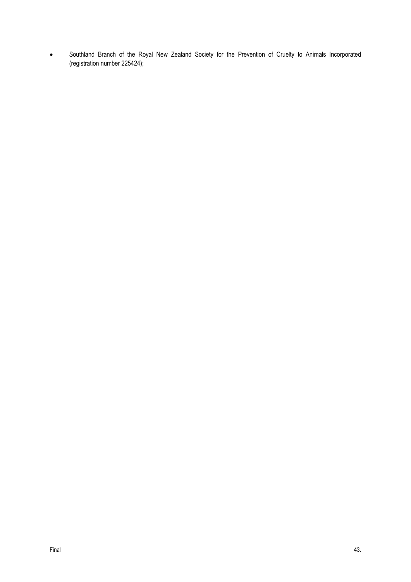• Southland Branch of the Royal New Zealand Society for the Prevention of Cruelty to Animals Incorporated (registration number 225424);